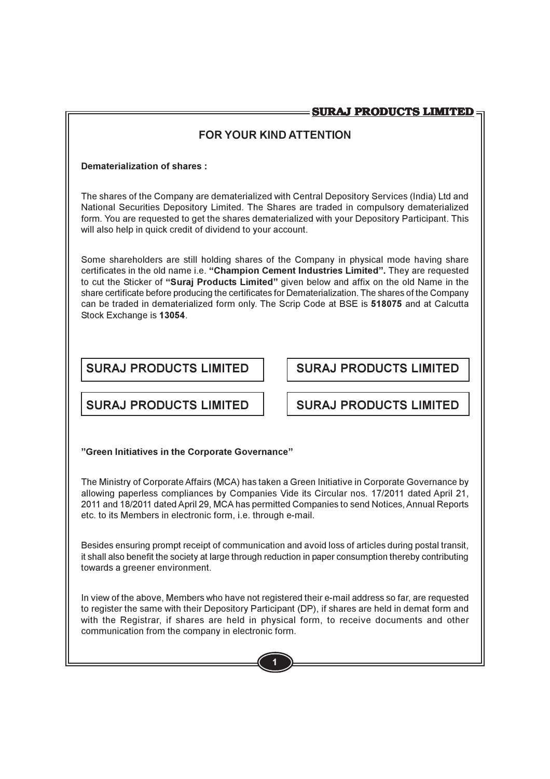# **FOR YOUR KIND ATTENTION**

# Dematerialization of shares:

The shares of the Company are dematerialized with Central Depository Services (India) Ltd and National Securities Depository Limited. The Shares are traded in compulsory dematerialized form. You are requested to get the shares dematerialized with your Depository Participant. This will also help in quick credit of dividend to your account.

Some shareholders are still holding shares of the Company in physical mode having share certificates in the old name i.e. "Champion Cement Industries Limited". They are requested to cut the Sticker of "Suraj Products Limited" given below and affix on the old Name in the share certificate before producing the certificates for Dematerialization. The shares of the Company can be traded in dematerialized form only. The Scrip Code at BSE is 518075 and at Calcutta Stock Exchange is 13054.

# **SURAJ PRODUCTS LIMITED**

**SURAJ PRODUCTS LIMITED** 

# **SURAJ PRODUCTS LIMITED**

**SURAJ PRODUCTS LIMITED** 

# "Green Initiatives in the Corporate Governance"

The Ministry of Corporate Affairs (MCA) has taken a Green Initiative in Corporate Governance by allowing paperless compliances by Companies Vide its Circular nos. 17/2011 dated April 21, 2011 and 18/2011 dated April 29, MCA has permitted Companies to send Notices, Annual Reports etc. to its Members in electronic form, i.e. through e-mail.

Besides ensuring prompt receipt of communication and avoid loss of articles during postal transit, it shall also benefit the society at large through reduction in paper consumption thereby contributing towards a greener environment.

In view of the above, Members who have not registered their e-mail address so far, are requested to register the same with their Depository Participant (DP), if shares are held in demat form and with the Registrar, if shares are held in physical form, to receive documents and other communication from the company in electronic form.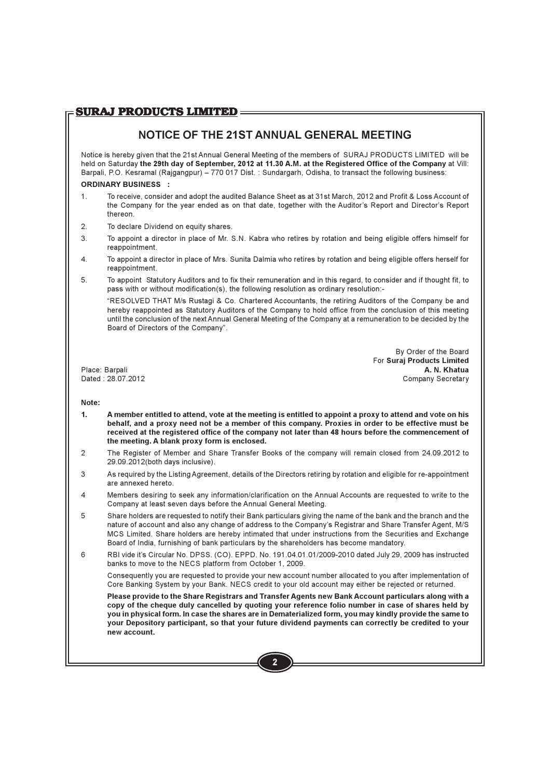# **SURAJ PRODUCTS LIMITED =**

# NOTICE OF THE 21ST ANNUAL GENERAL MEETING

Notice is hereby given that the 21st Annual General Meeting of the members of SURAJ PRODUCTS LIMITED will be held on Saturday the 29th day of September, 2012 at 11.30 A.M. at the Registered Office of the Company at Vill: Barpali, P.O. Kesramal (Raigangpur) - 770 017 Dist.: Sundargarh, Odisha, to transact the following business:

### **ORDINARY BUSINESS ·**

- To receive, consider and adopt the audited Balance Sheet as at 31st March, 2012 and Profit & Loss Account of  $1$ the Company for the year ended as on that date, together with the Auditor's Report and Director's Report thereon.
- $2.$ To declare Dividend on equity shares.
- $3<sub>1</sub>$ To appoint a director in place of Mr. S.N. Kabra who retires by rotation and being eligible offers himself for reappointment.
- $\overline{4}$ . To appoint a director in place of Mrs. Sunita Dalmia who retires by rotation and being eligible offers herself for reappointment.
- $5<sub>1</sub>$ To appoint Statutory Auditors and to fix their remuneration and in this regard, to consider and if thought fit, to pass with or without modification(s), the following resolution as ordinary resolution:-

"RESOLVED THAT M/s Rustagi & Co. Chartered Accountants, the retiring Auditors of the Company be and hereby reappointed as Statutory Auditors of the Company to hold office from the conclusion of this meeting until the conclusion of the next Annual General Meeting of the Company at a remuneration to be decided by the Board of Directors of the Company".

> By Order of the Board **For Suraj Products Limited** A. N. Khatua Company Secretary

Place: Barpali Dated: 28.07.2012

### Note:

- $\mathbf{1}$ A member entitled to attend, vote at the meeting is entitled to appoint a proxy to attend and vote on his behalf, and a proxy need not be a member of this company. Proxies in order to be effective must be received at the registered office of the company not later than 48 hours before the commencement of the meeting. A blank proxy form is enclosed.
- $\overline{2}$ The Register of Member and Share Transfer Books of the company will remain closed from 24.09.2012 to 29.09.2012(both days inclusive).
- 3 As required by the Listing Agreement, details of the Directors retiring by rotation and eligible for re-appointment are annexed hereto
- Members desiring to seek any information/clarification on the Annual Accounts are requested to write to the  $\overline{4}$ Company at least seven days before the Annual General Meeting.
- 5 Share holders are requested to notify their Bank particulars giving the name of the bank and the branch and the nature of account and also any change of address to the Company's Registrar and Share Transfer Agent, M/S MCS Limited. Share holders are hereby intimated that under instructions from the Securities and Exchange Board of India, furnishing of bank particulars by the shareholders has become mandatory.
- 6 RBI vide it's Circular No. DPSS. (CO). EPPD. No. 191.04.01.01/2009-2010 dated July 29, 2009 has instructed banks to move to the NECS platform from October 1, 2009.

Consequently you are requested to provide your new account number allocated to you after implementation of Core Banking System by your Bank, NECS credit to your old account may either be rejected or returned.

Please provide to the Share Registrars and Transfer Agents new Bank Account particulars along with a copy of the cheque duly cancelled by quoting your reference folio number in case of shares held by you in physical form. In case the shares are in Dematerialized form, you may kindly provide the same to your Depository participant, so that your future dividend payments can correctly be credited to your new account.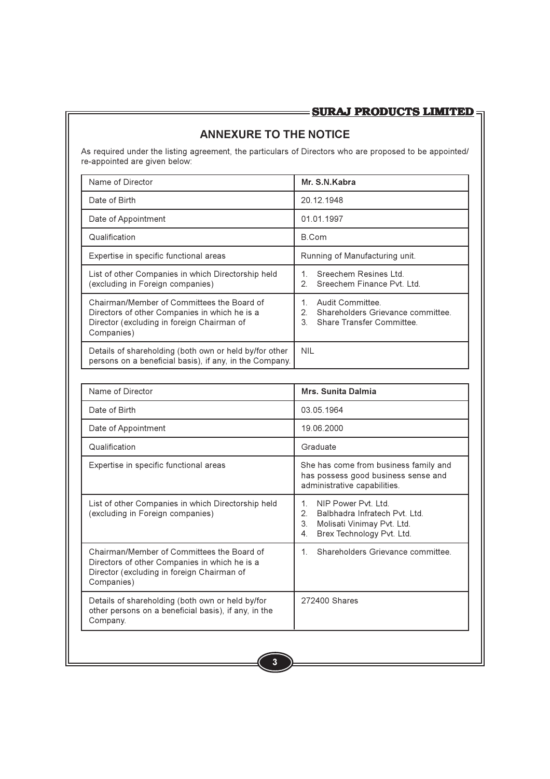# **ANNEXURE TO THE NOTICE**

As required under the listing agreement, the particulars of Directors who are proposed to be appointed/ re-appointed are given below:

| Name of Director                                                                                                                                        | Mr. S.N. Kabra                                                                                      |
|---------------------------------------------------------------------------------------------------------------------------------------------------------|-----------------------------------------------------------------------------------------------------|
| Date of Birth                                                                                                                                           | 20.12.1948                                                                                          |
| Date of Appointment                                                                                                                                     | 01.01.1997                                                                                          |
| Qualification                                                                                                                                           | B.Com                                                                                               |
| Expertise in specific functional areas                                                                                                                  | Running of Manufacturing unit.                                                                      |
| List of other Companies in which Directorship held<br>(excluding in Foreign companies)                                                                  | Sreechem Resines Ltd.<br>Sreechem Finance Pvt. Ltd.<br>$\mathcal{P}$                                |
| Chairman/Member of Committees the Board of<br>Directors of other Companies in which he is a<br>Director (excluding in foreign Chairman of<br>Companies) | Audit Committee<br>Shareholders Grievance committee.<br>2.<br>3<br><b>Share Transfer Committee.</b> |
| Details of shareholding (both own or held by/for other<br>persons on a beneficial basis), if any, in the Company.                                       | <b>NIL</b>                                                                                          |

| Name of Director                                                                                                                                        | Mrs. Sunita Dalmia                                                                                                                            |  |  |
|---------------------------------------------------------------------------------------------------------------------------------------------------------|-----------------------------------------------------------------------------------------------------------------------------------------------|--|--|
| Date of Birth                                                                                                                                           | 03 05 1964                                                                                                                                    |  |  |
| Date of Appointment                                                                                                                                     | 19.06.2000                                                                                                                                    |  |  |
| Qualification                                                                                                                                           | Graduate                                                                                                                                      |  |  |
| Expertise in specific functional areas                                                                                                                  | She has come from business family and<br>has possess good business sense and<br>administrative capabilities.                                  |  |  |
| List of other Companies in which Directorship held<br>(excluding in Foreign companies)                                                                  | NIP Power Pvt 1td<br>1.<br>$\mathcal{P}$<br>Balbhadra Infratech Pvt I td<br>3<br>Molisati Vinimay Pvt. Ltd.<br>Brex Technology Pvt. Ltd.<br>4 |  |  |
| Chairman/Member of Committees the Board of<br>Directors of other Companies in which he is a<br>Director (excluding in foreign Chairman of<br>Companies) | Shareholders Grievance committee<br>1                                                                                                         |  |  |
| Details of shareholding (both own or held by/for<br>other persons on a beneficial basis), if any, in the<br>Company.                                    | 272400 Shares                                                                                                                                 |  |  |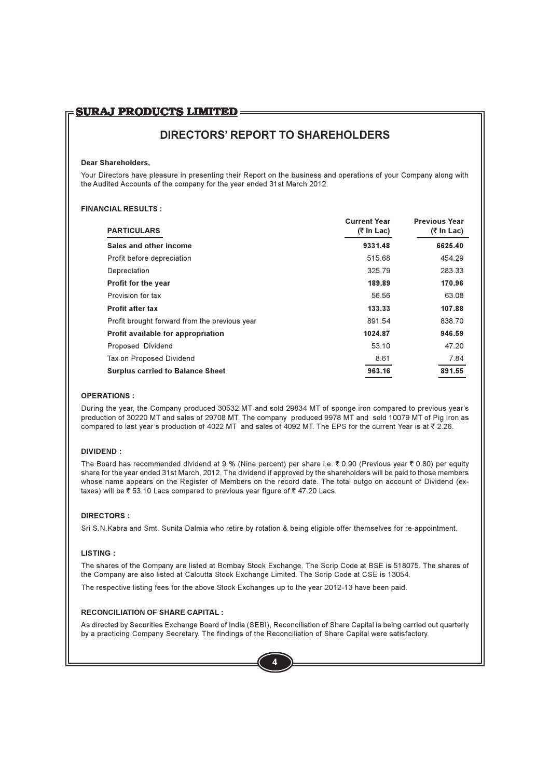# **SURAJ PRODUCTS LIMITED:**

# **DIRECTORS' REPORT TO SHAREHOLDERS**

### **Dear Shareholders.**

Your Directors have pleasure in presenting their Report on the business and operations of your Company along with the Audited Accounts of the company for the year ended 31st March 2012.

### **FINANCIAL RESULTS:**

| <b>PARTICULARS</b>                            | <b>Current Year</b><br>$(7 \ln \text{Lac})$ | <b>Previous Year</b><br>(₹ In Lac) |
|-----------------------------------------------|---------------------------------------------|------------------------------------|
| Sales and other income                        | 9331.48                                     | 6625.40                            |
| Profit before depreciation                    | 515.68                                      | 454.29                             |
| Depreciation                                  | 325.79                                      | 283.33                             |
| <b>Profit for the year</b>                    | 189.89                                      | 170.96                             |
| Provision for tax                             | 56.56                                       | 63.08                              |
| <b>Profit after tax</b>                       | 133.33                                      | 107.88                             |
| Profit brought forward from the previous year | 891.54                                      | 838.70                             |
| Profit available for appropriation            | 1024.87                                     | 946.59                             |
| Proposed Dividend                             | 53.10                                       | 47.20                              |
| Tax on Proposed Dividend                      | 8.61                                        | 7.84                               |
| <b>Surplus carried to Balance Sheet</b>       | 963.16                                      | 891.55                             |

### **OPERATIONS:**

During the year, the Company produced 30532 MT and sold 29834 MT of sponge iron compared to previous year's production of 30220 MT and sales of 29708 MT. The company produced 9978 MT and sold 10079 MT of Pig Iron as compared to last year's production of 4022 MT and sales of 4092 MT. The EPS for the current Year is at ₹ 2.26.

### $N$  OIVIDEND:

The Board has recommended dividend at 9 % (Nine percent) per share i.e. ₹ 0.90 (Previous year ₹ 0.80) per equity share for the year ended 31st March, 2012. The dividend if approved by the shareholders will be paid to those members whose name appears on the Register of Members on the record date. The total outgo on account of Dividend (extaxes) will be ₹53.10 Lacs compared to previous year figure of ₹47.20 Lacs.

### **DIRECTORS:**

Sri S.N. Kabra and Smt. Sunita Dalmia who retire by rotation & being eligible offer themselves for re-appointment.

### **I ISTING:**

The shares of the Company are listed at Bombay Stock Exchange. The Scrip Code at BSE is 518075. The shares of the Company are also listed at Calcutta Stock Exchange Limited. The Scrip Code at CSE is 13054.

The respective listing fees for the above Stock Exchanges up to the year 2012-13 have been paid.

### **RECONCILIATION OF SHARE CAPITAL :**

As directed by Securities Exchange Board of India (SEBI), Reconciliation of Share Capital is being carried out quarterly by a practicing Company Secretary. The findings of the Reconciliation of Share Capital were satisfactory.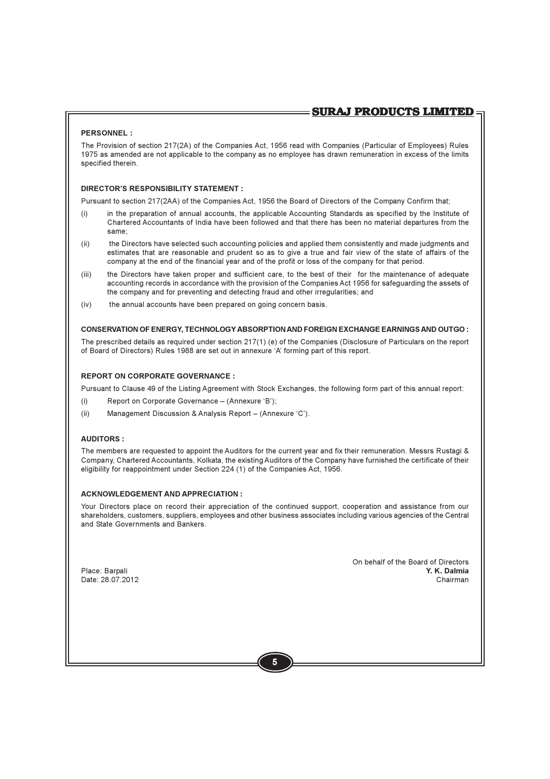### PFRSONNEL:

The Provision of section 217(2A) of the Companies Act. 1956 read with Companies (Particular of Employees) Rules 1975 as amended are not applicable to the company as no employee has drawn remuneration in excess of the limits specified therein.

### DIRECTOR'S RESPONSIBILITY STATEMENT :

Pursuant to section 217(2AA) of the Companies Act, 1956 the Board of Directors of the Company Confirm that:

- in the preparation of annual accounts, the applicable Accounting Standards as specified by the Institute of  $(i)$ Chartered Accountants of India have been followed and that there has been no material departures from the same:
- $(ii)$ the Directors have selected such accounting policies and applied them consistently and made judgments and estimates that are reasonable and prudent so as to give a true and fair view of the state of affairs of the company at the end of the financial year and of the profit or loss of the company for that period.
- $(iii)$ the Directors have taken proper and sufficient care, to the best of their for the maintenance of adequate accounting records in accordance with the provision of the Companies Act 1956 for safeguarding the assets of the company and for preventing and detecting fraud and other irregularities; and
- $(iv)$ the annual accounts have been prepared on going concern basis.

### CONSERVATION OF ENERGY. TECHNOLOGY ABSORPTION AND FOREIGN EXCHANGE EARNINGS AND OUTGO:

The prescribed details as required under section 217(1) (e) of the Companies (Disclosure of Particulars on the report of Board of Directors) Rules 1988 are set out in annexure 'A' forming part of this report.

### **REPORT ON CORPORATE GOVERNANCE:**

Pursuant to Clause 49 of the Listing Agreement with Stock Exchanges, the following form part of this annual report:

- $(i)$ Report on Corporate Governance - (Annexure 'B');
- Management Discussion & Analysis Report (Annexure 'C').  $(ii)$

### **AUDITORS:**

The members are requested to appoint the Auditors for the current year and fix their remuneration. Messrs Rustagi & Company, Chartered Accountants, Kolkata, the existing Auditors of the Company have furnished the certificate of their eligibility for reappointment under Section 224 (1) of the Companies Act, 1956.

### **ACKNOWLEDGEMENT AND APPRECIATION:**

Your Directors place on record their appreciation of the continued support, cooperation and assistance from our shareholders, customers, suppliers, employees and other business associates including various agencies of the Central and State Governments and Bankers.

Place: Barpali Date: 28.07.2012 On behalf of the Board of Directors Y. K. Dalmia Chairman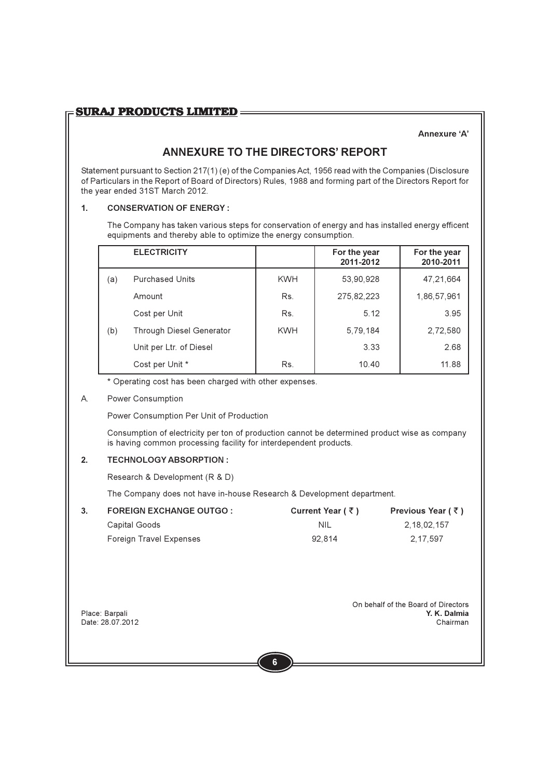### Annexure 'A'

# **ANNEXURE TO THE DIRECTORS' REPORT**

Statement pursuant to Section 217(1) (e) of the Companies Act, 1956 read with the Companies (Disclosure of Particulars in the Report of Board of Directors) Rules, 1988 and forming part of the Directors Report for the year ended 31ST March 2012.

### $1<sub>1</sub>$ **CONSERVATION OF ENERGY:**

The Company has taken various steps for conservation of energy and has installed energy efficent equipments and thereby able to optimize the energy consumption.

|     | <b>ELECTRICITY</b>              |            | For the year<br>2011-2012 | For the year<br>2010-2011 |
|-----|---------------------------------|------------|---------------------------|---------------------------|
| (a) | <b>Purchased Units</b>          | <b>KWH</b> | 53,90,928                 | 47,21,664                 |
|     | Amount                          | Rs.        | 275,82,223                | 1,86,57,961               |
|     | Cost per Unit                   | Rs.        | 5.12                      | 3.95                      |
| (b) | <b>Through Diesel Generator</b> | <b>KWH</b> | 5,79,184                  | 2,72,580                  |
|     | Unit per Ltr. of Diesel         |            | 3.33                      | 2.68                      |
|     | Cost per Unit *                 | Rs.        | 10.40                     | 11.88                     |

\* Operating cost has been charged with other expenses.

### $A_{\cdot}$ Power Consumption

Power Consumption Per Unit of Production

Consumption of electricity per ton of production cannot be determined product wise as company is having common processing facility for interdependent products.

### $\overline{2}$ **TECHNOLOGY ARSORPTION:**

Research & Development (R & D)

The Company does not have in-house Research & Development department.

| <b>FOREIGN EXCHANGE OUTGO:</b> | Current Year ( $\bar{\tau}$ ) | Previous Year ( ₹ ) |
|--------------------------------|-------------------------------|---------------------|
| Capital Goods                  | NIL.                          | 2.18.02.157         |
| Foreign Travel Expenses        | 92.814                        | 2.17.597            |

Place: Barpali Date: 28.07.2012 On behalf of the Board of Directors Y. K. Dalmia Chairman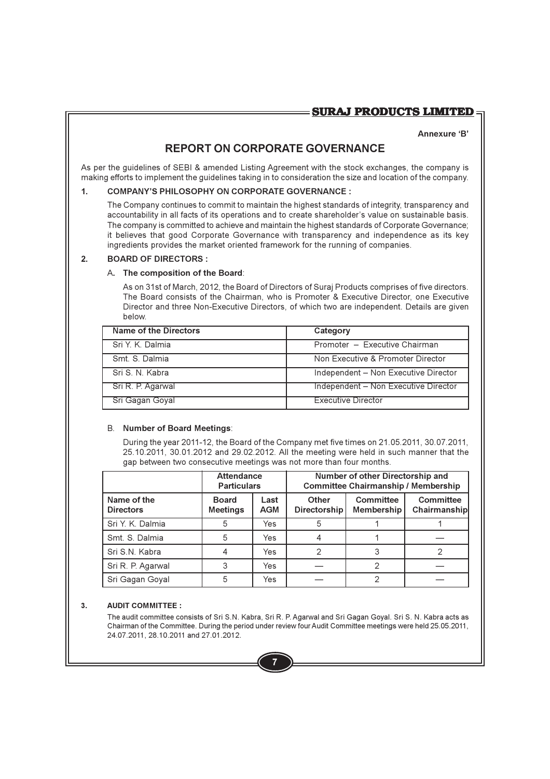### Annexure 'R'

# REPORT ON CORPORATE GOVERNANCE

As per the guidelines of SEBI & amended Listing Agreement with the stock exchanges, the company is making efforts to implement the quidelines taking in to consideration the size and location of the company.

### $\mathbf{1}$ . **COMPANY'S PHILOSOPHY ON CORPORATE GOVERNANCE:**

The Company continues to commit to maintain the highest standards of integrity, transparency and accountability in all facts of its operations and to create shareholder's value on sustainable basis. The company is committed to achieve and maintain the highest standards of Corporate Governance; it believes that good Corporate Governance with transparency and independence as its key ingredients provides the market oriented framework for the running of companies.

### $\overline{2}$ **BOARD OF DIRECTORS:**

### A. The composition of the Board:

As on 31st of March, 2012, the Board of Directors of Suraj Products comprises of five directors. The Board consists of the Chairman, who is Promoter & Executive Director, one Executive Director and three Non-Executive Directors, of which two are independent. Details are given below

| Name of the Directors | Category                             |
|-----------------------|--------------------------------------|
| Sri Y. K. Dalmia      | Promoter - Executive Chairman        |
| Smt S Dalmia          | Non Executive & Promoter Director    |
| Sri S N Kabra         | Independent - Non Executive Director |
| Sri R. P. Agarwal     | Independent - Non Executive Director |
| Sri Gagan Goyal       | Executive Director                   |

### **B.** Number of Board Meetings:

During the year 2011-12, the Board of the Company met five times on 21.05.2011, 30.07.2011, 25.10.2011, 30.01.2012 and 29.02.2012. All the meeting were held in such manner that the gap between two consecutive meetings was not more than four months.

|                                 | <b>Attendance</b><br><b>Particulars</b> |                    | Number of other Directorship and<br><b>Committee Chairmanship / Membership</b> |                         |                           |
|---------------------------------|-----------------------------------------|--------------------|--------------------------------------------------------------------------------|-------------------------|---------------------------|
| Name of the<br><b>Directors</b> | <b>Board</b><br><b>Meetings</b>         | Last<br><b>AGM</b> | <b>Other</b><br><b>Directorship</b>                                            | Committee<br>Membership | Committee<br>Chairmanship |
| Sri Y. K. Dalmia                | 5                                       | Yes                | 5                                                                              |                         |                           |
| Smt. S. Dalmia                  | 5                                       | Yes                |                                                                                |                         |                           |
| Sri S.N. Kabra                  |                                         | Yes                | 2                                                                              | 3                       |                           |
| Sri R. P. Agarwal               | 3                                       | Yes                |                                                                                |                         |                           |
| Sri Gagan Goyal                 | 5                                       | Yes                |                                                                                |                         |                           |

### **AUDIT COMMITTEE:**  $3.$

The audit committee consists of Sri S.N. Kabra, Sri R. P. Agarwal and Sri Gagan Goyal. Sri S. N. Kabra acts as Chairman of the Committee. During the period under review four Audit Committee meetings were held 25.05.2011, 24.07.2011, 28.10.2011 and 27.01.2012.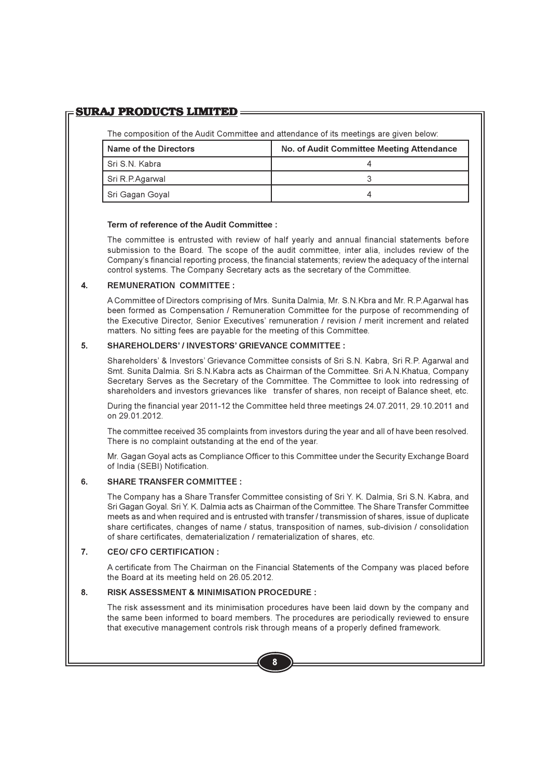# **SURAJ PRODUCTS LIMITED**

The composition of the Audit Committee and attendance of its meetings are given below:

| Name of the Directors | No. of Audit Committee Meeting Attendance |
|-----------------------|-------------------------------------------|
| Sri S.N. Kabra        |                                           |
| Sri R.P.Agarwal       |                                           |
| Sri Gagan Goyal       |                                           |

### Term of reference of the Audit Committee:

The committee is entrusted with review of half yearly and annual financial statements before submission to the Board. The scope of the audit committee, inter alia, includes review of the Company's financial reporting process, the financial statements; review the adequacy of the internal control systems. The Company Secretary acts as the secretary of the Committee.

### $\blacktriangle$ REMUNERATION COMMITTEE :

A Committee of Directors comprising of Mrs. Sunita Dalmia, Mr. S.N. Kbra and Mr. R.P. Agarwal has been formed as Compensation / Remuneration Committee for the purpose of recommending of the Executive Director, Senior Executives' remuneration / revision / merit increment and related matters. No sitting fees are payable for the meeting of this Committee.

### 5. **SHAREHOLDERS' / INVESTORS' GRIEVANCE COMMITTEE:**

Shareholders' & Investors' Grievance Committee consists of Sri S.N. Kabra, Sri R.P. Agarwal and Smt. Sunita Dalmia. Sri S.N. Kabra acts as Chairman of the Committee. Sri A.N. Khatua, Company Secretary Serves as the Secretary of the Committee. The Committee to look into redressing of shareholders and investors grievances like transfer of shares, non receipt of Balance sheet, etc.

During the financial year 2011-12 the Committee held three meetings 24.07.2011, 29.10.2011 and on 29 01 2012

The committee received 35 complaints from investors during the year and all of have been resolved. There is no complaint outstanding at the end of the year.

Mr. Gagan Goyal acts as Compliance Officer to this Committee under the Security Exchange Board of India (SEBI) Notification.

### **SHARE TRANSFER COMMITTEE:** 6.

The Company has a Share Transfer Committee consisting of Sri Y. K. Dalmia, Sri S.N. Kabra, and Sri Gagan Goval, Sri Y. K. Dalmia acts as Chairman of the Committee. The Share Transfer Committee meets as and when required and is entrusted with transfer / transmission of shares, issue of duplicate share certificates, changes of name / status, transposition of names, sub-division / consolidation of share certificates, dematerialization / rematerialization of shares, etc.

### $\overline{7}$ CFO/ CFO CERTIFICATION:

A certificate from The Chairman on the Financial Statements of the Company was placed before the Board at its meeting held on 26.05.2012.

### 8. **RISK ASSESSMENT & MINIMISATION PROCEDURE:**

The risk assessment and its minimisation procedures have been laid down by the company and the same been informed to board members. The procedures are periodically reviewed to ensure that executive management controls risk through means of a properly defined framework.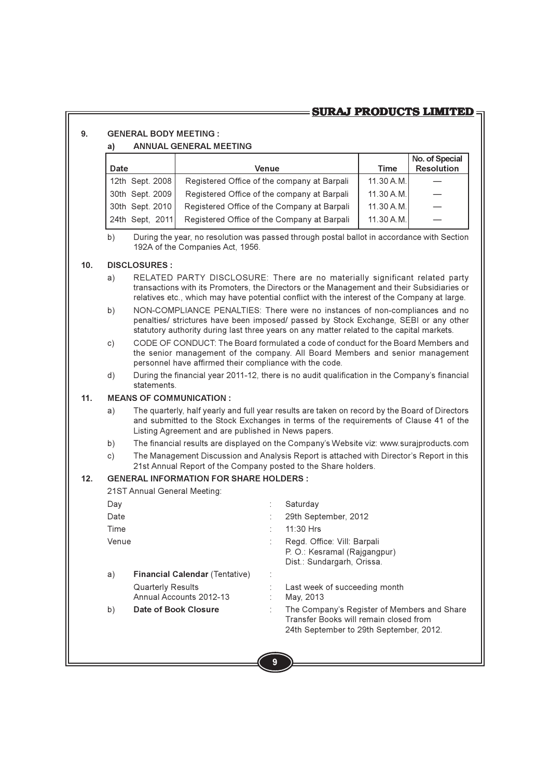# **SURAJ PRODUCTS LIMITED**

### $\mathbf{q}$ **GENERAL RODY MEETING ·**

### **ANNUAL GENERAL MEETING**  $a)$

| <b>Date</b>         | Venue                                       | <b>Time</b> | No. of Special<br><b>Resolution</b> |
|---------------------|---------------------------------------------|-------------|-------------------------------------|
| 12th Sept. 2008     | Registered Office of the company at Barpali | 11.30 A.M.  |                                     |
| 30th Sept. 2009     | Registered Office of the company at Barpali | 11.30 A.M.  |                                     |
| 30th Sept. 2010     | Registered Office of the Company at Barpali | 11.30 A.M.  |                                     |
| l 24th Sept. 2011 l | Registered Office of the Company at Barpali | 11.30 A.M.  |                                     |

 $b)$ During the year, no resolution was passed through postal ballot in accordance with Section 192A of the Companies Act. 1956.

### $10<sub>1</sub>$ **DISCLOSURES:**

- RELATED PARTY DISCLOSURE: There are no materially significant related party  $a)$ transactions with its Promoters, the Directors or the Management and their Subsidiaries or relatives etc., which may have potential conflict with the interest of the Company at large.
- b) NON-COMPLIANCE PENALTIES: There were no instances of non-compliances and no penalties/ strictures have been imposed/ passed by Stock Exchange, SEBI or any other statutory authority during last three years on any matter related to the capital markets.
- $\mathsf{C}$ ) CODE OF CONDUCT: The Board formulated a code of conduct for the Board Members and the senior management of the company. All Board Members and senior management personnel have affirmed their compliance with the code.
- During the financial year 2011-12, there is no audit qualification in the Company's financial  $(d)$ statements

### $11.$ **MEANS OF COMMUNICATION:**

- The quarterly, half yearly and full year results are taken on record by the Board of Directors  $a)$ and submitted to the Stock Exchanges in terms of the requirements of Clause 41 of the Listing Agreement and are published in News papers.
- $b)$ The financial results are displayed on the Company's Website viz: www.surajproducts.com
- The Management Discussion and Analysis Report is attached with Director's Report in this  $\mathsf{c})$ 21st Annual Report of the Company posted to the Share holders.

### $12<sup>1</sup>$ **GENERAL INFORMATION FOR SHARE HOLDERS:**

21ST Annual General Meeting:

| Day   |                                       | Saturday                                                                                                                         |
|-------|---------------------------------------|----------------------------------------------------------------------------------------------------------------------------------|
| Date  |                                       | 29th September, 2012                                                                                                             |
|       |                                       |                                                                                                                                  |
| Time  |                                       | 11:30 Hrs                                                                                                                        |
| Venue |                                       | Regd. Office: Vill: Barpali                                                                                                      |
|       |                                       | P. O.: Kesramal (Rajgangpur)                                                                                                     |
|       |                                       | Dist.: Sundargarh, Orissa.                                                                                                       |
| a)    | <b>Financial Calendar (Tentative)</b> |                                                                                                                                  |
|       | <b>Quarterly Results</b>              | Last week of succeeding month                                                                                                    |
|       | Annual Accounts 2012-13               | May, 2013                                                                                                                        |
| b)    | Date of Book Closure                  | The Company's Register of Members and Share<br>Transfer Books will remain closed from<br>24th September to 29th September, 2012. |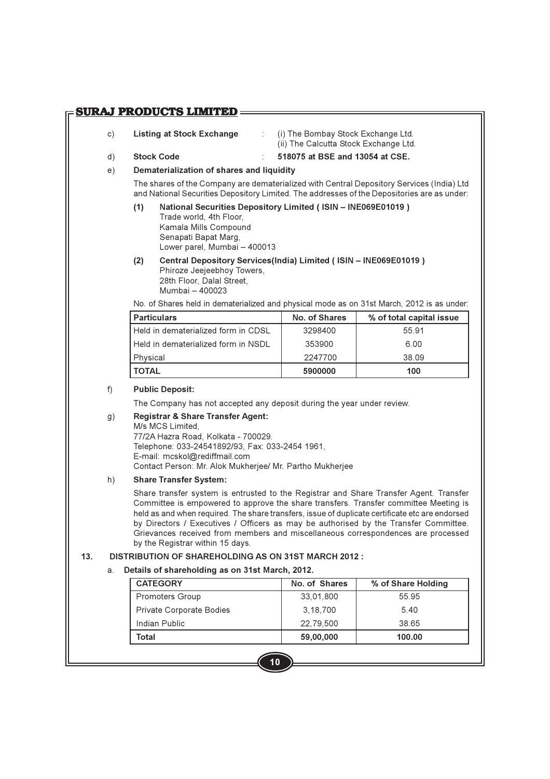### **SURAJ PRODUCTS LIMITED=**

- $\mathsf{C}$ ) Listing at Stock Exchange
- (i) The Bombay Stock Exchange Ltd. (ii) The Calcutta Stock Exchange Ltd.

 $d)$ Stock Code 518075 at BSF and 13054 at CSF.

### Dematerialization of shares and liquidity  $e)$

The shares of the Company are dematerialized with Central Depository Services (India) Ltd and National Securities Depository Limited. The addresses of the Depositories are as under:

National Securities Depository Limited (ISIN - INE069E01019)  $(1)$ Trade world, 4th Floor, Kamala Mills Compound Senapati Bapat Marg, Lower parel, Mumbai - 400013

 $\mathcal{F}_{\mathcal{A}}$  .

 $(2)$ Central Depository Services(India) Limited (ISIN - INE069E01019) Phiroze Jeejeebhoy Towers, 28th Floor, Dalal Street. Mumbai - 400023

No. of Shares held in dematerialized and physical mode as on 31st March, 2012 is as under:

| <b>Particulars</b>                    | No. of Shares | % of total capital issue |
|---------------------------------------|---------------|--------------------------|
| l Held in dematerialized form in CDSL | 3298400       | 55 91                    |
| l Held in dematerialized form in NSDL | 353900        | 6.00                     |
| Physical                              | 2247700       | 38.09                    |
| TOTAL                                 | 5900000       | 100                      |

### $f$ ) **Public Deposit:**

The Company has not accepted any deposit during the year under review.

### **Registrar & Share Transfer Agent:**  $g)$

M/s MCS Limited.

77/2A Hazra Road, Kolkata - 700029. Telephone: 033-24541892/93, Fax: 033-2454 1961, E-mail: mcskol@rediffmail.com Contact Person: Mr. Alok Mukherjee/ Mr. Partho Mukherjee

### $h)$ **Share Transfer System:**

Share transfer system is entrusted to the Registrar and Share Transfer Agent. Transfer Committee is empowered to approve the share transfers. Transfer committee Meeting is held as and when required. The share transfers, issue of duplicate certificate etc are endorsed by Directors / Executives / Officers as may be authorised by the Transfer Committee. Grievances received from members and miscellaneous correspondences are processed by the Registrar within 15 days.

### $13.$ **DISTRIBUTION OF SHAREHOLDING AS ON 31ST MARCH 2012:**

### Details of shareholding as on 31st March, 2012. a.

| <b>CATEGORY</b>          | No. of Shares | % of Share Holding |
|--------------------------|---------------|--------------------|
| Promoters Group          | 33,01,800     | 55 95              |
| Private Corporate Bodies | 3, 18, 700    | 540                |
| Indian Public            | 22.79.500     | 38.65              |
| Total                    | 59.00.000     | 100.00             |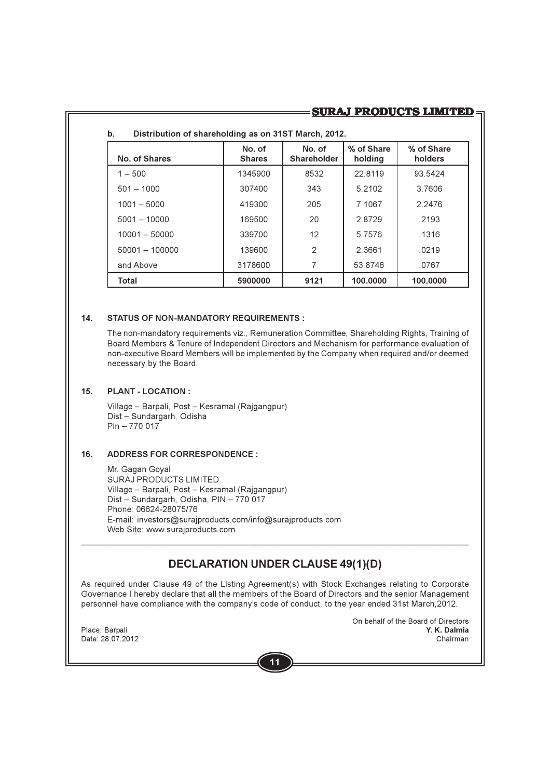# **SURAJ PRODUCTS LIMITED:**

|                  |                         |                              | % of Share | % of Share |
|------------------|-------------------------|------------------------------|------------|------------|
| No. of Shares    | No. of<br><b>Shares</b> | No. of<br><b>Shareholder</b> | holding    | holders    |
| $1 - 500$        | 1345900                 | 8532                         | 22.8119    | 93.5424    |
| $501 - 1000$     | 307400                  | 343                          | 5.2102     | 3.7606     |
| $1001 - 5000$    | 419300                  | 205                          | 7.1067     | 2.2476     |
| $5001 - 10000$   | 169500                  | 20                           | 2.8729     | .2193      |
| $10001 - 50000$  | 339700                  | 12                           | 5.7576     | .1316      |
| $50001 - 100000$ | 139600                  | 2                            | 2.3661     | .0219      |
| and Above        | 3178600                 | 7                            | 53.8746    | .0767      |
| Total            | 5900000                 | 9121                         | 100.0000   | 100.0000   |

 $-0.2407 M_{\odot}$  M = 0040 **Service Contract Contract Contract** 

### $14.$ **STATUS OF NON-MANDATORY REQUIREMENTS:**

The non-mandatory requirements viz., Remuneration Committee, Shareholding Rights, Training of Board Members & Tenure of Independent Directors and Mechanism for performance evaluation of non-executive Board Members will be implemented by the Company when required and/or deemed necessary by the Board.

### $15<sub>1</sub>$ PI ANT - I OCATION :

Village - Barpali, Post - Kesramal (Rajgangpur) Dist - Sundargarh, Odisha  $Pin - 770017$ 

### $16<sub>1</sub>$ **ADDRESS FOR CORRESPONDENCE:**

Mr. Gagan Goyal SURAJ PRODUCTS LIMITED Village - Barpali, Post - Kesramal (Rajgangpur) Dist - Sundargarh, Odisha, PIN - 770 017 Phone: 06624-28075/76 E-mail: investors@surajproducts.com/info@surajproducts.com Web Site: www.surajproducts.com

# **DECLARATION UNDER CLAUSE 49(1)(D)**

As required under Clause 49 of the Listing Agreement(s) with Stock Exchanges relating to Corporate Governance I hereby declare that all the members of the Board of Directors and the senior Management personnel have compliance with the company's code of conduct, to the year ended 31st March, 2012.

Place: Barpali Date: 28.07.2012 On behalf of the Board of Directors Y. K. Dalmia Chairman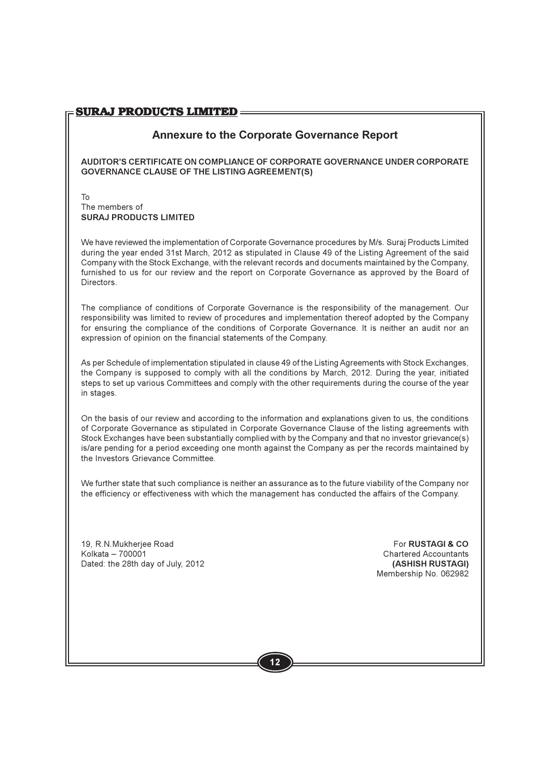# **Annexure to the Corporate Governance Report**

AUDITOR'S CERTIFICATE ON COMPLIANCE OF CORPORATE GOVERNANCE UNDER CORPORATE **GOVERNANCE CLAUSE OF THE LISTING AGREEMENT(S)** 

To The members of SURAJ PRODUCTS LIMITED

We have reviewed the implementation of Corporate Governance procedures by M/s. Surai Products Limited during the year ended 31st March, 2012 as stipulated in Clause 49 of the Listing Agreement of the said Company with the Stock Exchange, with the relevant records and documents maintained by the Company, furnished to us for our review and the report on Corporate Governance as approved by the Board of Directors.

The compliance of conditions of Corporate Governance is the responsibility of the management. Our responsibility was limited to review of procedures and implementation thereof adopted by the Company for ensuring the compliance of the conditions of Corporate Governance. It is neither an audit nor an expression of opinion on the financial statements of the Company.

As per Schedule of implementation stipulated in clause 49 of the Listing Agreements with Stock Exchanges. the Company is supposed to comply with all the conditions by March, 2012. During the year, initiated steps to set up various Committees and comply with the other requirements during the course of the year in stages.

On the basis of our review and according to the information and explanations given to us, the conditions of Corporate Governance as stipulated in Corporate Governance Clause of the listing agreements with Stock Exchanges have been substantially complied with by the Company and that no investor grievance(s) is/are pending for a period exceeding one month against the Company as per the records maintained by the Investors Grievance Committee.

We further state that such compliance is neither an assurance as to the future viability of the Company nor the efficiency or effectiveness with which the management has conducted the affairs of the Company.

19. R.N. Mukheriee Road Kolkata - 700001 Dated: the 28th day of July, 2012

For RUSTAGL& CO **Chartered Accountants** (ASHISH RUSTAGI) Membership No. 062982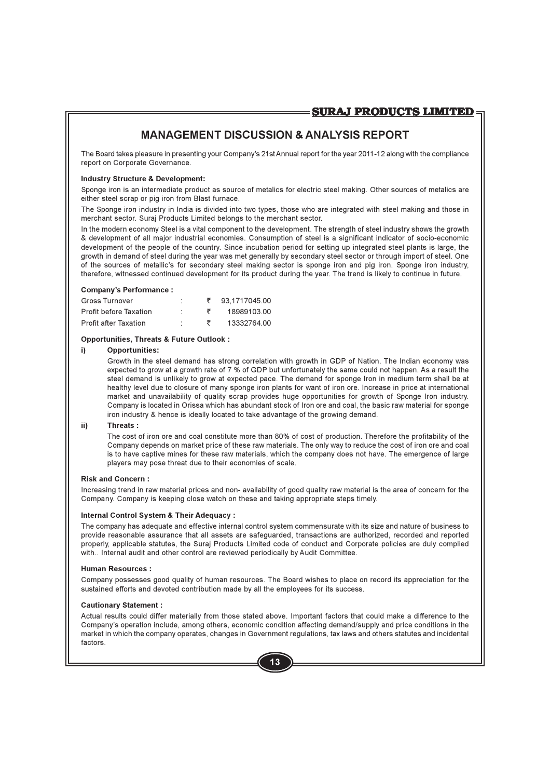# **MANAGEMENT DISCUSSION & ANALYSIS REPORT**

The Board takes pleasure in presenting your Company's 21st Annual report for the year 2011-12 along with the compliance report on Corporate Governance.

### **Industry Structure & Development:**

Sponge iron is an intermediate product as source of metalics for electric steel making. Other sources of metalics are either steel scrap or pig iron from Blast furnace.

The Sponge iron industry in India is divided into two types, those who are integrated with steel making and those in merchant sector. Surai Products Limited belongs to the merchant sector.

In the modern economy Steel is a vital component to the development. The strength of steel industry shows the growth & development of all major industrial economies. Consumption of steel is a significant indicator of socio-economic development of the people of the country. Since incubation period for setting up integrated steel plants is large, the growth in demand of steel during the year was met generally by secondary steel sector or through import of steel. One of the sources of metallic's for secondary steel making sector is sponge iron and pig iron. Sponge iron industry, therefore, witnessed continued development for its product during the year. The trend is likely to continue in future.

### **Company's Performance:**

| Gross Turnover                |  | 93.1717045.00 |
|-------------------------------|--|---------------|
| <b>Profit before Taxation</b> |  | 1898910300    |
| <b>Profit after Taxation</b>  |  | 13332764 00   |

### **Opportunities. Threats & Future Outlook:**

### i) **Opportunities:**

Growth in the steel demand has strong correlation with growth in GDP of Nation. The Indian economy was expected to grow at a growth rate of 7 % of GDP but unfortunately the same could not happen. As a result the steel demand is unlikely to grow at expected pace. The demand for sponge Iron in medium term shall be at healthy level due to closure of many sponge iron plants for want of iron ore. Increase in price at international market and unavailability of quality scrap provides huge opportunities for growth of Sponge Iron industry. Company is located in Orissa which has abundant stock of Iron ore and coal, the basic raw material for sponge iron industry & hence is ideally located to take advantage of the growing demand.

### ii) Threats:

The cost of iron ore and coal constitute more than 80% of cost of production. Therefore the profitability of the Company depends on market price of these raw materials. The only way to reduce the cost of iron ore and coal is to have captive mines for these raw materials, which the company does not have. The emergence of large players may pose threat due to their economies of scale.

### **Risk and Concern:**

Increasing trend in raw material prices and non- availability of good quality raw material is the area of concern for the Company. Company is keeping close watch on these and taking appropriate steps timely.

### **Internal Control System & Their Adequacy:**

The company has adequate and effective internal control system commensurate with its size and nature of business to provide reasonable assurance that all assets are safeguarded, transactions are authorized, recorded and reported properly, applicable statutes, the Surai Products Limited code of conduct and Corporate policies are duly complied with. Internal audit and other control are reviewed periodically by Audit Committee.

### **Human Resources:**

Company possesses good quality of human resources. The Board wishes to place on record its appreciation for the sustained efforts and devoted contribution made by all the employees for its success.

### **Cautionary Statement:**

Actual results could differ materially from those stated above. Important factors that could make a difference to the Company's operation include, among others, economic condition affecting demand/supply and price conditions in the market in which the company operates, changes in Government regulations, tax laws and others statutes and incidental factors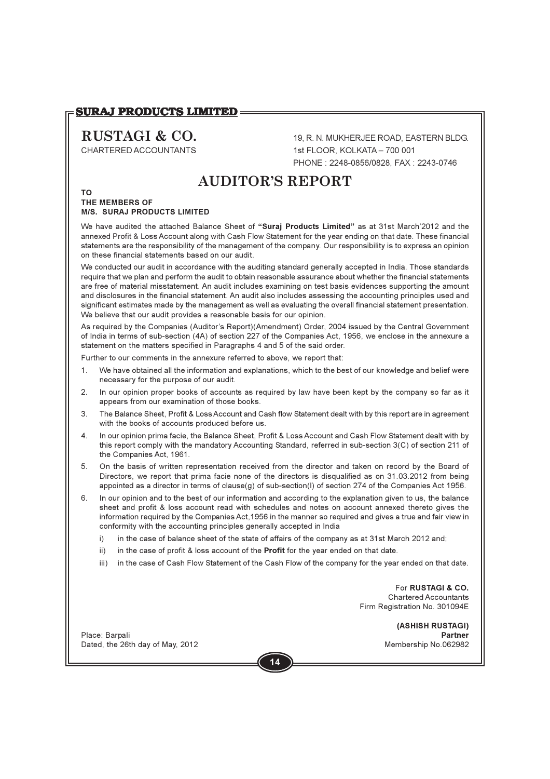### **SURAJ PRODUCTS LIMITED=**

# RUSTAGI & CO.

CHARTERED ACCOUNTANTS

19. R. N. MUKHERJEE ROAD, EASTERN BLDG. 1st FLOOR KOLKATA - 700 001 PHONE: 2248-0856/0828. FAX: 2243-0746

# **AUDITOR'S REPORT**

### **TO THE MEMBERS OF M/S. SURAJ PRODUCTS LIMITED**

We have audited the attached Balance Sheet of "Surai Products Limited" as at 31st March'2012 and the annexed Profit & Loss Account along with Cash Flow Statement for the year ending on that date. These financial statements are the responsibility of the management of the company. Our responsibility is to express an opinion on these financial statements based on our audit.

We conducted our audit in accordance with the auditing standard generally accepted in India. Those standards require that we plan and perform the audit to obtain reasonable assurance about whether the financial statements are free of material misstatement. An audit includes examining on test basis evidences supporting the amount and disclosures in the financial statement. An audit also includes assessing the accounting principles used and significant estimates made by the management as well as evaluating the overall financial statement presentation. We believe that our audit provides a reasonable basis for our opinion.

As required by the Companies (Auditor's Report)(Amendment) Order, 2004 issued by the Central Government of India in terms of sub-section (4A) of section 227 of the Companies Act, 1956, we enclose in the annexure a statement on the matters specified in Paragraphs 4 and 5 of the said order.

Further to our comments in the annexure referred to above, we report that:

- We have obtained all the information and explanations, which to the best of our knowledge and belief were  $1.$ necessary for the purpose of our audit.
- $2.$ In our opinion proper books of accounts as required by law have been kept by the company so far as it appears from our examination of those books.
- $3.$ The Balance Sheet, Profit & Loss Account and Cash flow Statement dealt with by this report are in agreement with the books of accounts produced before us.
- $4.$ In our opinion prima facie, the Balance Sheet, Profit & Loss Account and Cash Flow Statement dealt with by this report comply with the mandatory Accounting Standard, referred in sub-section 3(C) of section 211 of the Companies Act, 1961.
- 5. On the basis of written representation received from the director and taken on record by the Board of Directors, we report that prima facie none of the directors is disqualified as on 31.03.2012 from being appointed as a director in terms of clause(g) of sub-section(I) of section 274 of the Companies Act 1956.
- 6. In our opinion and to the best of our information and according to the explanation given to us, the balance sheet and profit & loss account read with schedules and notes on account annexed thereto gives the information required by the Companies Act, 1956 in the manner so required and gives a true and fair view in conformity with the accounting principles generally accepted in India
	- in the case of balance sheet of the state of affairs of the company as at 31st March 2012 and;  $i)$
	- $\overline{ii}$ in the case of profit & loss account of the Profit for the year ended on that date.
	- iii) in the case of Cash Flow Statement of the Cash Flow of the company for the year ended on that date.

For RUSTAGI & CO. Chartered Accountants Firm Registration No. 301094E

> (ASHISH RUSTAGI) **Partner** Membership No.062982

Place: Barpali Dated, the 26th day of May, 2012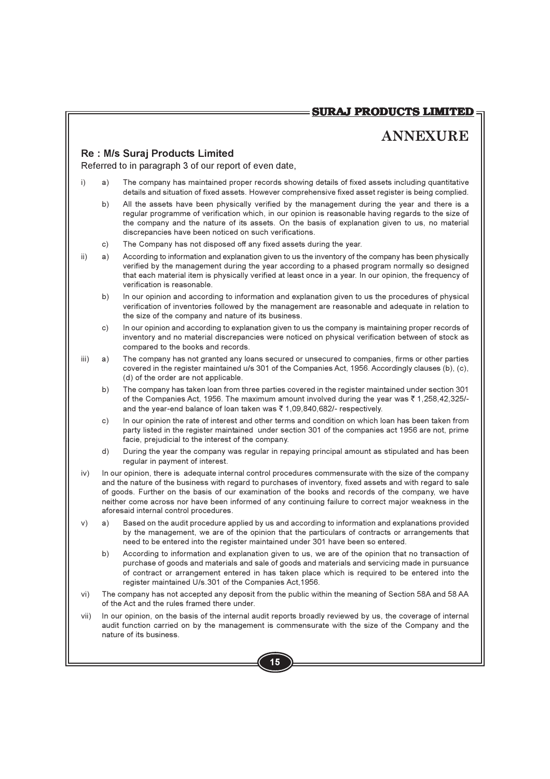# **ANNEXURE**

# Re: M/s Surai Products Limited

Referred to in paragraph 3 of our report of even date,

- $i)$ a) The company has maintained proper records showing details of fixed assets including quantitative details and situation of fixed assets. However comprehensive fixed asset register is being complied.
	- $b)$ All the assets have been physically verified by the management during the year and there is a regular programme of verification which, in our opinion is reasonable having regards to the size of the company and the nature of its assets. On the basis of explanation given to us, no material discrepancies have been noticed on such verifications.
	- The Company has not disposed off any fixed assets during the year.  $\circ$ )
- $\overline{ii}$ According to information and explanation given to us the inventory of the company has been physically  $a)$ verified by the management during the year according to a phased program normally so designed that each material item is physically verified at least once in a year. In our opinion, the frequency of verification is reasonable.
	- $b)$ In our opinion and according to information and explanation given to us the procedures of physical verification of inventories followed by the management are reasonable and adequate in relation to the size of the company and nature of its business.
	- In our opinion and according to explanation given to us the company is maintaining proper records of  $\mathsf{c}$ ) inventory and no material discrepancies were noticed on physical verification between of stock as compared to the books and records.
- iii) The company has not granted any loans secured or unsecured to companies, firms or other parties a) covered in the register maintained u/s 301 of the Companies Act, 1956. Accordingly clauses (b), (c), (d) of the order are not applicable.
	- The company has taken loan from three parties covered in the register maintained under section 301 b) of the Companies Act, 1956. The maximum amount involved during the year was ₹1,258,42,325/and the year-end balance of loan taken was ₹1,09,840,682/- respectively.
	- In our opinion the rate of interest and other terms and condition on which loan has been taken from  $c)$ party listed in the register maintained under section 301 of the companies act 1956 are not, prime facie, prejudicial to the interest of the company.
	- $d)$ During the year the company was regular in repaying principal amount as stipulated and has been regular in payment of interest.
- iv) In our opinion, there is adequate internal control procedures commensurate with the size of the company and the nature of the business with regard to purchases of inventory, fixed assets and with regard to sale of goods. Further on the basis of our examination of the books and records of the company, we have neither come across nor have been informed of any continuing failure to correct major weakness in the aforesaid internal control procedures.
- $V)$ a) Based on the audit procedure applied by us and according to information and explanations provided by the management, we are of the opinion that the particulars of contracts or arrangements that need to be entered into the register maintained under 301 have been so entered.
	- $b)$ According to information and explanation given to us, we are of the opinion that no transaction of purchase of goods and materials and sale of goods and materials and servicing made in pursuance of contract or arrangement entered in has taken place which is required to be entered into the register maintained U/s.301 of the Companies Act, 1956.
- vi) The company has not accepted any deposit from the public within the meaning of Section 58A and 58 AA of the Act and the rules framed there under.
- vii) In our opinion, on the basis of the internal audit reports broadly reviewed by us, the coverage of internal audit function carried on by the management is commensurate with the size of the Company and the nature of its business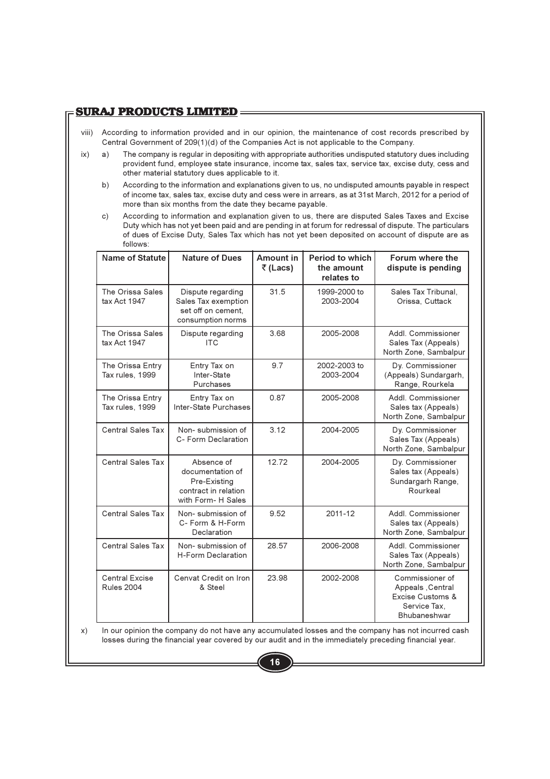# **SURAJ PRODUCTS LIMITED =**

- viii) According to information provided and in our opinion, the maintenance of cost records prescribed by Central Government of 209(1)(d) of the Companies Act is not applicable to the Company.
- $ix)$  $a)$ The company is regular in depositing with appropriate authorities undisputed statutory dues including provident fund, employee state insurance, income tax, sales tax, service tax, excise duty, cess and other material statutory dues applicable to it.
	- According to the information and explanations given to us, no undisputed amounts payable in respect  $b)$ of income tax, sales tax, excise duty and cess were in arrears, as at 31st March, 2012 for a period of more than six months from the date they became payable.
	- According to information and explanation given to us, there are disputed Sales Taxes and Excise  $\mathsf{c})$ Duty which has not yet been paid and are pending in at forum for redressal of dispute. The particulars of dues of Excise Duty. Sales Tax which has not vet been deposited on account of dispute are as follows:

| <b>Name of Statute</b>                     | <b>Nature of Dues</b>                                                                        | <b>Amount in</b><br>₹(Lacs) | <b>Period to which</b><br>the amount<br>relates to | Forum where the<br>dispute is pending                                                   |
|--------------------------------------------|----------------------------------------------------------------------------------------------|-----------------------------|----------------------------------------------------|-----------------------------------------------------------------------------------------|
| The Orissa Sales<br>tax Act 1947           | Dispute regarding<br>Sales Tax exemption<br>set off on cement.<br>consumption norms          | 31.5                        | 1999-2000 to<br>2003-2004                          | Sales Tax Tribunal,<br>Orissa, Cuttack                                                  |
| The Orissa Sales<br>tax Act 1947           | Dispute regarding<br><b>ITC</b>                                                              | 3.68                        | 2005-2008                                          | Addl. Commissioner<br>Sales Tax (Appeals)<br>North Zone, Sambalpur                      |
| The Orissa Entry<br>Tax rules, 1999        | Entry Tax on<br>Inter-State<br>Purchases                                                     | 9.7                         | 2002-2003 to<br>2003-2004                          | Dy. Commissioner<br>(Appeals) Sundargarh,<br>Range, Rourkela                            |
| The Orissa Entry<br>Tax rules, 1999        | Entry Tax on<br>Inter-State Purchases                                                        | 0.87                        | 2005-2008                                          | Addl. Commissioner<br>Sales tax (Appeals)<br>North Zone, Sambalpur                      |
| <b>Central Sales Tax</b>                   | Non-submission of<br>C- Form Declaration                                                     | 3.12                        | 2004-2005                                          | Dy. Commissioner<br>Sales Tax (Appeals)<br>North Zone, Sambalpur                        |
| Central Sales Tax                          | Absence of<br>documentation of<br>Pre-Existing<br>contract in relation<br>with Form- H Sales | 12.72                       | 2004-2005                                          | Dy. Commissioner<br>Sales tax (Appeals)<br>Sundargarh Range,<br>Rourkeal                |
| <b>Central Sales Tax</b>                   | Non-submission of<br>C- Form & H-Form<br>Declaration                                         | 9.52                        | 2011-12                                            | Addl. Commissioner<br>Sales tax (Appeals)<br>North Zone, Sambalpur                      |
| Central Sales Tax                          | Non-submission of<br>H-Form Declaration                                                      | 28.57                       | 2006-2008                                          | Addl. Commissioner<br>Sales Tax (Appeals)<br>North Zone, Sambalpur                      |
| <b>Central Excise</b><br><b>Rules 2004</b> | Cenvat Credit on Iron<br>& Steel                                                             | 23.98                       | 2002-2008                                          | Commissioner of<br>Appeals, Central<br>Excise Customs &<br>Service Tax,<br>Bhubaneshwar |

 $x)$ In our opinion the company do not have any accumulated losses and the company has not incurred cash losses during the financial year covered by our audit and in the immediately preceding financial year.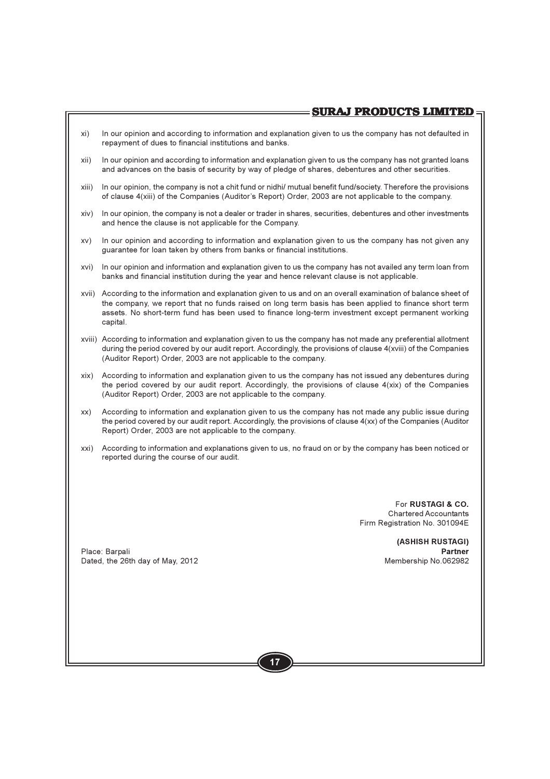- xi) In our opinion and according to information and explanation given to us the company has not defaulted in repayment of dues to financial institutions and banks.
- xii) In our opinion and according to information and explanation given to us the company has not granted loans and advances on the basis of security by way of pledge of shares, debentures and other securities.
- xiii) In our opinion, the company is not a chit fund or nidhi/mutual benefit fund/society. Therefore the provisions of clause 4(xiii) of the Companies (Auditor's Report) Order, 2003 are not applicable to the company.
- In our opinion, the company is not a dealer or trader in shares, securities, debentures and other investments xiv) and hence the clause is not applicable for the Company.
- $XV)$ In our opinion and according to information and explanation given to us the company has not given any guarantee for loan taken by others from banks or financial institutions.
- In our opinion and information and explanation given to us the company has not availed any term loan from xvi) banks and financial institution during the year and hence relevant clause is not applicable.
- xvii) According to the information and explanation given to us and on an overall examination of balance sheet of the company, we report that no funds raised on long term basis has been applied to finance short term assets. No short-term fund has been used to finance long-term investment except permanent working capital.
- xviii) According to information and explanation given to us the company has not made any preferential allotment during the period covered by our audit report. Accordingly, the provisions of clause 4(xviii) of the Companies (Auditor Report) Order, 2003 are not applicable to the company.
- xix) According to information and explanation given to us the company has not issued any debentures during the period covered by our audit report. Accordingly, the provisions of clause  $4(xix)$  of the Companies (Auditor Report) Order, 2003 are not applicable to the company.
- $XX)$ According to information and explanation given to us the company has not made any public issue during the period covered by our audit report. Accordingly, the provisions of clause 4(xx) of the Companies (Auditor Report) Order, 2003 are not applicable to the company.
- xxi) According to information and explanations given to us, no fraud on or by the company has been noticed or reported during the course of our audit.

For RUSTAGI & CO. **Chartered Accountants** Firm Registration No. 301094E

> (ASHISH RUSTAGI) **Partner** Membership No.062982

Place: Barpali Dated, the 26th day of May, 2012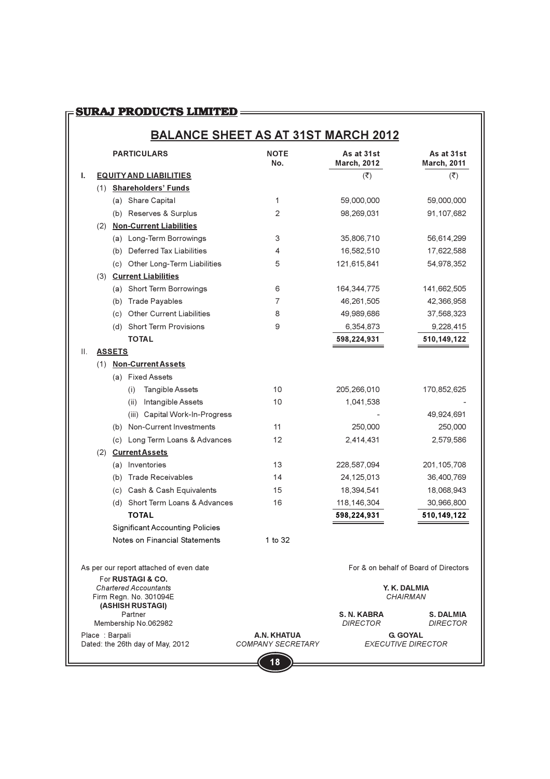# 

# **BALANCE SHEET AS AT 31ST MARCH 2012**

|    |                |               | <b>PARTICULARS</b>                         | <b>NOTE</b><br>No.                      | As at 31st<br><b>March, 2012</b> | As at 31st<br><b>March, 2011</b>             |
|----|----------------|---------------|--------------------------------------------|-----------------------------------------|----------------------------------|----------------------------------------------|
| ı. |                |               | <b>EQUITY AND LIABILITIES</b>              |                                         | $(\overline{\mathbf{x}})$        | $(\overline{\zeta})$                         |
|    |                |               | (1) Shareholders' Funds                    |                                         |                                  |                                              |
|    |                |               | (a) Share Capital                          | 1                                       | 59,000,000                       | 59,000,000                                   |
|    |                |               | (b) Reserves & Surplus                     | 2                                       | 98,269,031                       | 91,107,682                                   |
|    |                |               | (2) Non-Current Liabilities                |                                         |                                  |                                              |
|    |                |               | (a) Long-Term Borrowings                   | 3                                       | 35,806,710                       | 56,614,299                                   |
|    |                |               | (b) Deferred Tax Liabilities               | 4                                       | 16,582,510                       | 17,622,588                                   |
|    |                |               | (c) Other Long-Term Liabilities            | 5                                       | 121,615,841                      | 54,978,352                                   |
|    |                |               | (3) Current Liabilities                    |                                         |                                  |                                              |
|    |                |               | (a) Short Term Borrowings                  | 6                                       | 164,344,775                      | 141,662,505                                  |
|    |                | (b)           | Trade Payables                             | 7                                       | 46,261,505                       | 42,366,958                                   |
|    |                |               | (c) Other Current Liabilities              | 8                                       | 49,989,686                       | 37,568,323                                   |
|    |                |               | (d) Short Term Provisions                  | 9                                       | 6,354,873                        | 9,228,415                                    |
|    |                |               | <b>TOTAL</b>                               |                                         | 598,224,931                      | 510,149,122                                  |
| Ш. |                | <b>ASSETS</b> |                                            |                                         |                                  |                                              |
|    |                |               | (1) Non-Current Assets                     |                                         |                                  |                                              |
|    |                |               | (a) Fixed Assets                           |                                         |                                  |                                              |
|    |                |               | Tangible Assets<br>(i)                     | 10                                      | 205,266,010                      | 170,852,625                                  |
|    |                |               | Intangible Assets<br>(ii)                  | 10                                      | 1,041,538                        |                                              |
|    |                |               | (iii) Capital Work-In-Progress             |                                         |                                  | 49,924,691                                   |
|    |                |               | (b) Non-Current Investments                | 11                                      | 250,000                          | 250,000                                      |
|    |                |               | (c) Long Term Loans & Advances             | 12                                      | 2,414,431                        | 2,579,586                                    |
|    |                |               | (2) Current Assets                         |                                         |                                  |                                              |
|    |                |               | (a) Inventories                            | 13                                      | 228,587,094                      | 201,105,708                                  |
|    |                | (b)           | <b>Trade Receivables</b>                   | 14                                      | 24,125,013                       | 36,400,769                                   |
|    |                |               | (c) Cash & Cash Equivalents                | 15                                      | 18,394,541                       | 18,068,943                                   |
|    |                |               | (d) Short Term Loans & Advances            | 16                                      | 118,146,304                      | 30,966,800                                   |
|    |                |               | <b>TOTAL</b>                               |                                         | 598,224,931                      | 510,149,122                                  |
|    |                |               | <b>Significant Accounting Policies</b>     |                                         |                                  |                                              |
|    |                |               | Notes on Financial Statements              | 1 to 32                                 |                                  |                                              |
|    |                |               | As per our report attached of even date    |                                         |                                  | For & on behalf of Board of Directors        |
|    |                |               | For <b>RUSTAGI &amp; CO.</b>               |                                         |                                  |                                              |
|    |                |               | <b>Chartered Accountants</b>               |                                         |                                  | Y. K. DALMIA<br>CHAIRMAN                     |
|    |                |               | Firm Regn. No. 301094E<br>(ASHISH RUSTAGI) |                                         |                                  |                                              |
|    |                |               | Partner                                    |                                         | S. N. KABRA                      | <b>S. DALMIA</b>                             |
|    |                |               | Membership No.062982                       |                                         | <b>DIRECTOR</b>                  | <b>DIRECTOR</b>                              |
|    | Place: Barpali |               | Dated: the 26th day of May, 2012           | A.N. KHATUA<br><b>COMPANY SECRETARY</b> |                                  | <b>G. GOYAL</b><br><b>EXECUTIVE DIRECTOR</b> |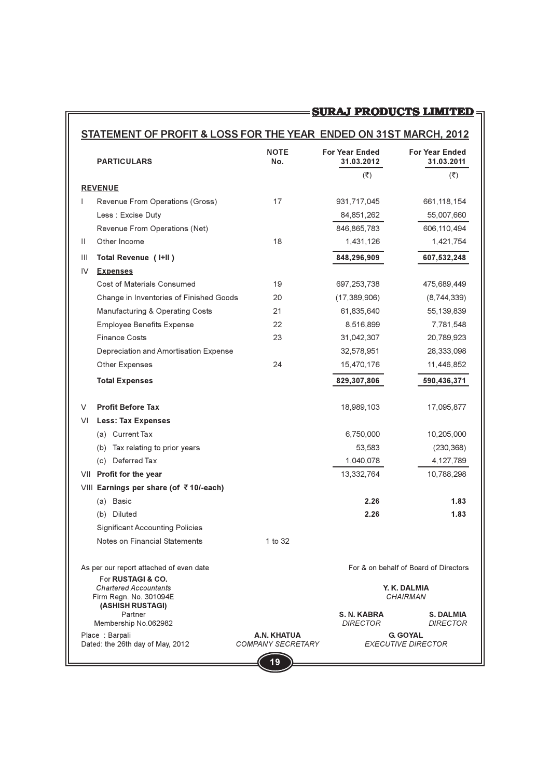# STATEMENT OF PROFIT & LOSS FOR THE YEAR ENDED ON 31ST MARCH, 2012

|              | <b>PARTICULARS</b>                                     | <b>NOTE</b><br>No.                                          | <b>For Year Ended</b><br>31.03.2012 | <b>For Year Ended</b><br>31.03.2011          |
|--------------|--------------------------------------------------------|-------------------------------------------------------------|-------------------------------------|----------------------------------------------|
|              | <b>REVENUE</b>                                         |                                                             | $(\overline{\mathbf{z}})$           | $(\overline{\mathbf{z}})$                    |
| $\mathbf{I}$ | Revenue From Operations (Gross)                        | 17                                                          | 931,717,045                         | 661, 118, 154                                |
|              | Less : Excise Duty                                     |                                                             | 84, 851, 262                        | 55,007,660                                   |
|              | Revenue From Operations (Net)                          |                                                             | 846,865,783                         | 606,110,494                                  |
| $\mathbf{H}$ | Other Income                                           | 18                                                          | 1,431,126                           | 1,421,754                                    |
| Ш            | Total Revenue (I+II)                                   |                                                             | 848,296,909                         | 607,532,248                                  |
| IV           | <b>Expenses</b>                                        |                                                             |                                     |                                              |
|              | Cost of Materials Consumed                             | 19                                                          | 697,253,738                         | 475,689,449                                  |
|              | Change in Inventories of Finished Goods                | 20                                                          | (17,389,906)                        | (8,744,339)                                  |
|              | Manufacturing & Operating Costs                        | 21                                                          | 61,835,640                          | 55,139,839                                   |
|              | <b>Employee Benefits Expense</b>                       | 22                                                          | 8.516.899                           | 7,781,548                                    |
|              | <b>Finance Costs</b>                                   | 23                                                          | 31,042,307                          | 20,789,923                                   |
|              | Depreciation and Amortisation Expense                  |                                                             | 32,578,951                          | 28,333,098                                   |
|              | Other Expenses                                         | 24                                                          | 15,470,176                          | 11,446,852                                   |
|              | <b>Total Expenses</b>                                  |                                                             | 829,307,806                         | 590,436,371                                  |
|              |                                                        |                                                             |                                     |                                              |
| V            | <b>Profit Before Tax</b>                               |                                                             | 18,989,103                          | 17,095,877                                   |
| VL           | <b>Less: Tax Expenses</b>                              |                                                             |                                     |                                              |
|              | (a) Current Tax                                        |                                                             | 6,750,000                           | 10,205,000                                   |
|              | Tax relating to prior years<br>(b)                     |                                                             | 53,583                              | (230, 368)                                   |
|              | (c) Deferred Tax                                       |                                                             | 1,040,078                           | 4,127,789                                    |
|              | VII Profit for the year                                |                                                             | 13,332,764                          | 10,788,298                                   |
|              | VIII Earnings per share (of ₹10/-each)                 |                                                             |                                     |                                              |
|              | (a) Basic                                              |                                                             | 2.26                                | 1.83                                         |
|              | (b) Diluted                                            |                                                             | 2.26                                | 1.83                                         |
|              | <b>Significant Accounting Policies</b>                 |                                                             |                                     |                                              |
|              | Notes on Financial Statements                          | 1 to 32                                                     |                                     |                                              |
|              | As per our report attached of even date                |                                                             |                                     | For & on behalf of Board of Directors        |
|              | For RUSTAGI & CO.                                      |                                                             |                                     |                                              |
|              | <b>Chartered Accountants</b><br>Firm Regn. No. 301094E |                                                             |                                     | Y. K. DALMIA<br>CHAIRMAN                     |
|              | (ASHISH RUSTAGI)<br>Partner                            |                                                             | S. N. KABRA                         | <b>S. DALMIA</b>                             |
|              | Membership No.062982                                   |                                                             | <b>DIRECTOR</b>                     | <b>DIRECTOR</b>                              |
|              | Place: Barpali<br>Dated: the 26th day of May, 2012     | A.N. KHATUA<br><b>COMPANY SECRETARY</b><br>$\blacktriangle$ |                                     | <b>G. GOYAL</b><br><b>EXECUTIVE DIRECTOR</b> |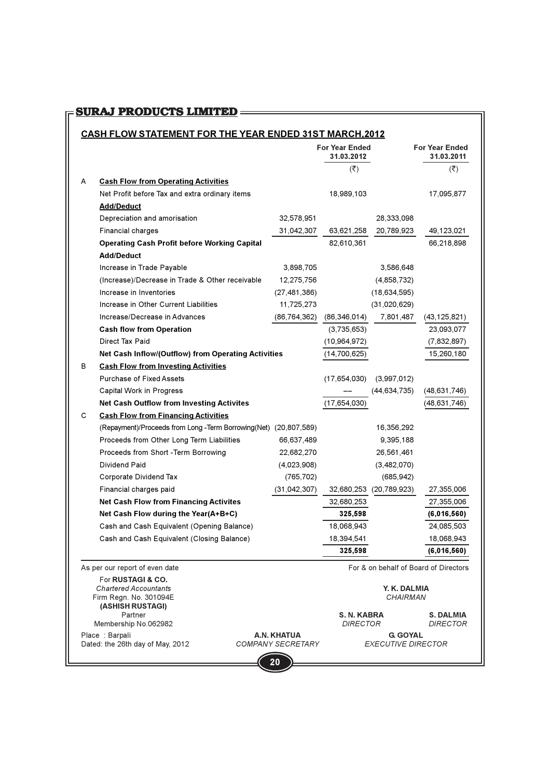# 

### CASH FLOW STATEMENT FOR THE YEAR ENDED 31ST MARCH.2012

|   |                                                                  |                | <b>For Year Ended</b><br>31.03.2012 |                         | <b>For Year Ended</b><br>31.03.2011   |
|---|------------------------------------------------------------------|----------------|-------------------------------------|-------------------------|---------------------------------------|
|   |                                                                  |                | $(\overline{\mathbf{x}})$           |                         | $(\overline{\zeta})$                  |
| A | <b>Cash Flow from Operating Activities</b>                       |                |                                     |                         |                                       |
|   | Net Profit before Tax and extra ordinary items                   |                | 18,989,103                          |                         | 17,095,877                            |
|   | <b>Add/Deduct</b>                                                |                |                                     |                         |                                       |
|   | Depreciation and amorisation                                     | 32,578,951     |                                     | 28,333,098              |                                       |
|   | <b>Financial charges</b>                                         | 31,042,307     | 63,621,258                          | 20,789,923              | 49,123,021                            |
|   | <b>Operating Cash Profit before Working Capital</b>              |                | 82,610,361                          |                         | 66,218,898                            |
|   | <b>Add/Deduct</b>                                                |                |                                     |                         |                                       |
|   | Increase in Trade Payable                                        | 3,898,705      |                                     | 3,586,648               |                                       |
|   | (Increase)/Decrease in Trade & Other receivable                  | 12,275,756     |                                     | (4,858,732)             |                                       |
|   | Increase in Inventories                                          | (27, 481, 386) |                                     | (18, 634, 595)          |                                       |
|   | Increase in Other Current Liabilities                            | 11,725,273     |                                     | (31,020,629)            |                                       |
|   | Increase/Decrease in Advances                                    | (86,764,362)   | (86,346,014)                        | 7,801,487               | (43,125,821)                          |
|   | <b>Cash flow from Operation</b>                                  |                | (3,735,653)                         |                         | 23,093,077                            |
|   | Direct Tax Paid                                                  |                | (10, 964, 972)                      |                         | (7,832,897)                           |
|   | Net Cash Inflow/(Outflow) from Operating Activities              |                | (14,700,625)                        |                         | 15,260,180                            |
| В | <b>Cash Flow from Investing Activities</b>                       |                |                                     |                         |                                       |
|   | <b>Purchase of Fixed Assets</b>                                  |                | (17,654,030)                        | (3,997,012)             |                                       |
|   | Capital Work in Progress                                         |                |                                     | (44, 634, 735)          | (48,631,746)                          |
|   | <b>Net Cash Outflow from Investing Activites</b>                 |                | (17,654,030)                        |                         | (48,631,746)                          |
| С | <b>Cash Flow from Financing Activities</b>                       |                |                                     |                         |                                       |
|   | (Repayment)/Proceeds from Long -Term Borrowing(Net) (20,807,589) |                |                                     | 16,356,292              |                                       |
|   | Proceeds from Other Long Term Liabilities                        | 66,637,489     |                                     | 9,395,188               |                                       |
|   | Proceeds from Short -Term Borrowing                              | 22,682,270     |                                     | 26,561,461              |                                       |
|   | Dividend Paid                                                    | (4,023,908)    |                                     | (3,482,070)             |                                       |
|   | Corporate Dividend Tax                                           | (765,702)      |                                     | (685,942)               |                                       |
|   | Financial charges paid                                           | (31, 042, 307) |                                     | 32,680,253 (20,789,923) | 27,355,006                            |
|   | <b>Net Cash Flow from Financing Activites</b>                    |                | 32,680,253                          |                         | 27,355,006                            |
|   | Net Cash Flow during the Year(A+B+C)                             |                | 325,598                             |                         | (6,016,560)                           |
|   | Cash and Cash Equivalent (Opening Balance)                       |                | 18,068,943                          |                         | 24,085,503                            |
|   | Cash and Cash Equivalent (Closing Balance)                       |                | 18,394,541                          |                         | 18,068,943                            |
|   |                                                                  |                | 325,598                             |                         | (6,016,560)                           |
|   | As per our report of even date                                   |                |                                     |                         | For & on behalf of Board of Directors |

For RUSTAGI & CO. **Chartered Accountants** Firm Regn. No. 301094E (ASHISH RUSTAGI) Partner Membership No.062982

Place: Barpali Fiace . Dailyall<br>Dated: the 26th day of May, 2012 COMPANY SECRETARY EXECUTIVE DIRECTOR

For & on behalf of Board of Directors

Y. K. DALMIA CHAIRMAN

S. N. KABRA S. DALMIA<br>DIRECTOR DIRECTOR **DIRECTOR** 

**G. GOYAL** 

A.N. KHATUA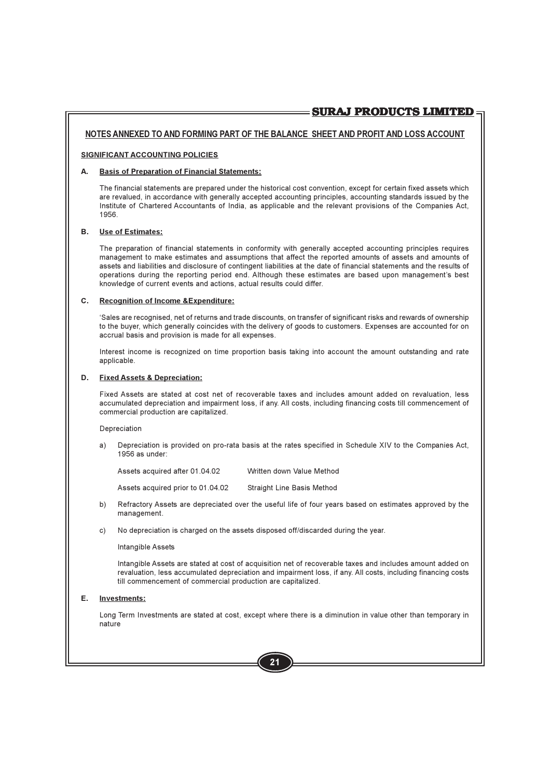### NOTES ANNEXED TO AND FORMING PART OF THE BALANCE SHEET AND PROFIT AND LOSS ACCOUNT

### SIGNIFICANT ACCOUNTING POLICIES

### А. **Basis of Preparation of Financial Statements:**

The financial statements are prepared under the historical cost convention, except for certain fixed assets which are revalued, in accordance with generally accepted accounting principles, accounting standards issued by the Institute of Chartered Accountants of India, as applicable and the relevant provisions of the Companies Act, 1956.

### R. **Use of Estimates:**

The preparation of financial statements in conformity with generally accepted accounting principles requires management to make estimates and assumptions that affect the reported amounts of assets and amounts of assets and liabilities and disclosure of contingent liabilities at the date of financial statements and the results of operations during the reporting period end. Although these estimates are based upon management's best knowledge of current events and actions, actual results could differ.

### $C_{1}$ **Recognition of Income & Expenditure:**

'Sales are recognised, net of returns and trade discounts, on transfer of significant risks and rewards of ownership to the buver, which generally coincides with the delivery of goods to customers. Expenses are accounted for on accrual basis and provision is made for all expenses.

Interest income is recognized on time proportion basis taking into account the amount outstanding and rate applicable.

### D. **Fixed Assets & Depreciation:**

Fixed Assets are stated at cost net of recoverable taxes and includes amount added on revaluation. less accumulated depreciation and impairment loss, if any. All costs, including financing costs till commencement of commercial production are capitalized.

### Depreciation

Depreciation is provided on pro-rata basis at the rates specified in Schedule XIV to the Companies Act, a) 1956 as under:

Assets acquired after 01.04.02 Written down Value Method

Assets acquired prior to 01.04.02 Straight Line Basis Method

- b) Refractory Assets are depreciated over the useful life of four years based on estimates approved by the management.
- No depreciation is charged on the assets disposed off/discarded during the year.  $c)$

### Intangible Assets

Intangible Assets are stated at cost of acquisition net of recoverable taxes and includes amount added on revaluation, less accumulated depreciation and impairment loss, if any. All costs, including financing costs till commencement of commercial production are capitalized.

### E. **Investments:**

Long Term Investments are stated at cost, except where there is a diminution in value other than temporary in nature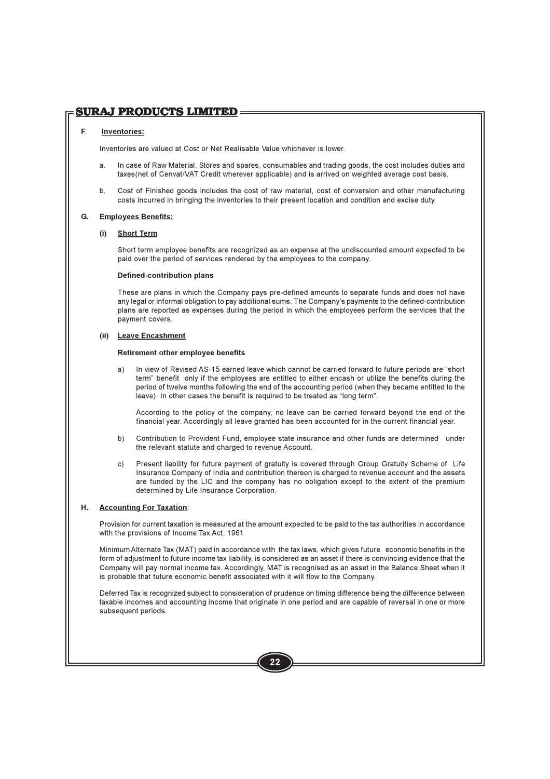# **SURAJ PRODUCTS LIMITED=**

### F. **Inventories:**

Inventories are valued at Cost or Net Realisable Value whichever is lower

- In case of Raw Material, Stores and spares, consumables and trading goods, the cost includes duties and  $\mathbf{a}$ taxes (net of Cenvat/VAT Credit wherever applicable) and is arrived on weighted average cost basis.
- $b<sub>1</sub>$ Cost of Finished goods includes the cost of raw material, cost of conversion and other manufacturing costs incurred in bringing the inventories to their present location and condition and excise duty.

### G. **Employees Benefits:**

### **Short Term**  $(i)$

Short term employee benefits are recognized as an expense at the undiscounted amount expected to be paid over the period of services rendered by the employees to the company.

### **Defined-contribution plans**

These are plans in which the Company pays pre-defined amounts to separate funds and does not have any legal or informal obligation to pay additional sums. The Company's payments to the defined-contribution plans are reported as expenses during the period in which the employees perform the services that the payment covers.

### (ii) Leave Encashment

### Retirement other employee benefits

In view of Revised AS-15 earned leave which cannot be carried forward to future periods are "short  $a)$ term" benefit only if the employees are entitled to either encash or utilize the benefits during the period of twelve months following the end of the accounting period (when they became entitled to the leave). In other cases the benefit is required to be treated as "long term".

According to the policy of the company, no leave can be carried forward beyond the end of the financial year. Accordingly all leave granted has been accounted for in the current financial year.

- Contribution to Provident Fund, employee state insurance and other funds are determined under b) the relevant statute and charged to revenue Account.
- $C)$ Present liability for future payment of gratuity is covered through Group Gratuity Scheme of Life Insurance Company of India and contribution thereon is charged to revenue account and the assets are funded by the LIC and the company has no obligation except to the extent of the premium determined by Life Insurance Corporation.

### Η. **Accounting For Taxation:**

Provision for current taxation is measured at the amount expected to be paid to the tax authorities in accordance with the provisions of Income Tax Act, 1961

Minimum Alternate Tax (MAT) paid in accordance with the tax laws, which gives future economic benefits in the form of adjustment to future income tax liability, is considered as an asset if there is convincing evidence that the Company will pay normal income tax. Accordingly, MAT is recognised as an asset in the Balance Sheet when it is probable that future economic benefit associated with it will flow to the Company.

Deferred Tax is recognized subject to consideration of prudence on timing difference being the difference between taxable incomes and accounting income that originate in one period and are capable of reversal in one or more subsequent periods.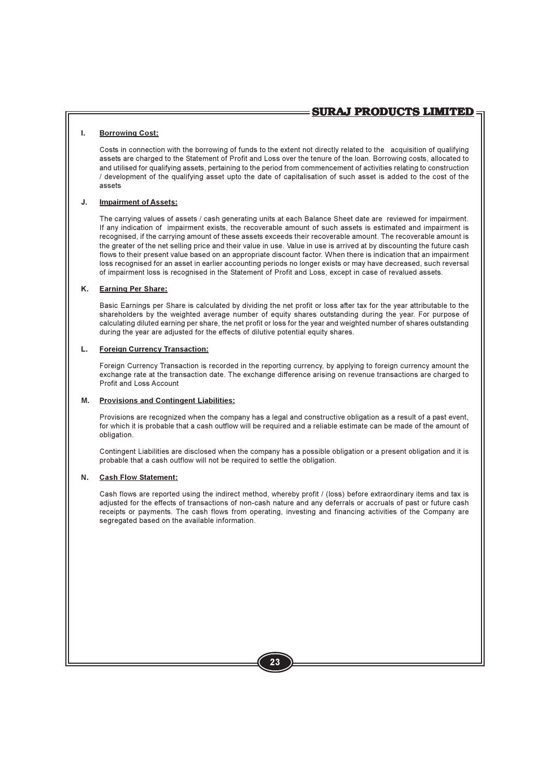### $\mathbf{L}$ **Borrowing Cost:**

Costs in connection with the borrowing of funds to the extent not directly related to the acquisition of qualifying assets are charged to the Statement of Profit and Loss over the tenure of the loan. Borrowing costs, allocated to and utilised for qualifying assets, pertaining to the period from commencement of activities relating to construction / development of the qualifying asset upto the date of capitalisation of such asset is added to the cost of the assets

### J. **Impairment of Assets:**

The carrying values of assets / cash generating units at each Balance Sheet date are reviewed for impairment. If any indication of impairment exists, the recoverable amount of such assets is estimated and impairment is recognised, if the carrying amount of these assets exceeds their recoverable amount. The recoverable amount is the greater of the net selling price and their value in use. Value in use is arrived at by discounting the future cash flows to their present value based on an appropriate discount factor. When there is indication that an impairment loss recognised for an asset in earlier accounting periods no longer exists or may have decreased, such reversal of impairment loss is recognised in the Statement of Profit and Loss, except in case of revalued assets.

### **K. Earning Per Share:**

Basic Earnings per Share is calculated by dividing the net profit or loss after tax for the year attributable to the shareholders by the weighted average number of equity shares outstanding during the year. For purpose of calculating diluted earning per share, the net profit or loss for the year and weighted number of shares outstanding during the year are adjusted for the effects of dilutive potential equity shares.

### L. **Foreign Currency Transaction:**

Foreign Currency Transaction is recorded in the reporting currency, by applying to foreign currency amount the exchange rate at the transaction date. The exchange difference arising on revenue transactions are charged to Profit and Loss Account

### **Provisions and Contingent Liabilities:** М.

Provisions are recognized when the company has a legal and constructive obligation as a result of a past event, for which it is probable that a cash outflow will be required and a reliable estimate can be made of the amount of obligation.

Contingent Liabilities are disclosed when the company has a possible obligation or a present obligation and it is probable that a cash outflow will not be required to settle the obligation.

### N. **Cash Flow Statement:**

Cash flows are reported using the indirect method, whereby profit / (loss) before extraordinary items and tax is adjusted for the effects of transactions of non-cash nature and any deferrals or accruals of past or future cash receipts or payments. The cash flows from operating, investing and financing activities of the Company are segregated based on the available information.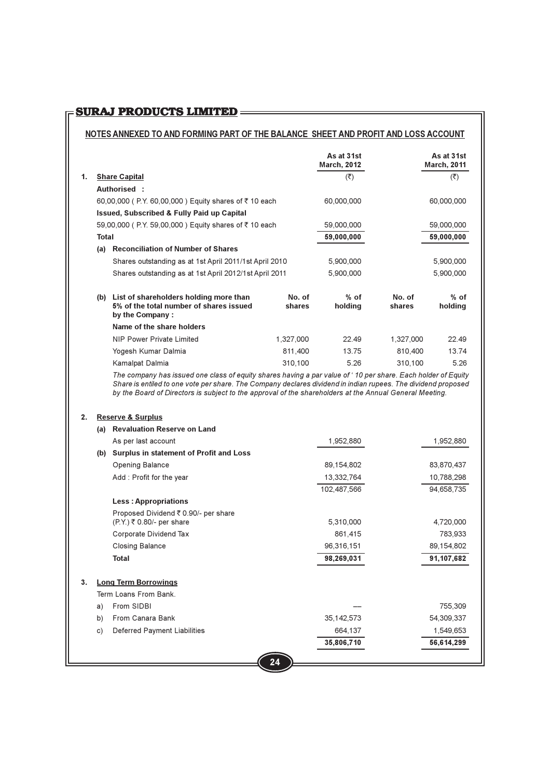# 

# NOTES ANNEXED TO AND FORMING PART OF THE BALANCE SHEET AND PROFIT AND LOSS ACCOUNT

|    |              |                                                                                                                                                                                                                                                                                                                                          |                  | As at 31st<br><b>March, 2012</b> |                  | As at 31st<br><b>March, 2011</b> |
|----|--------------|------------------------------------------------------------------------------------------------------------------------------------------------------------------------------------------------------------------------------------------------------------------------------------------------------------------------------------------|------------------|----------------------------------|------------------|----------------------------------|
| 1. |              | <b>Share Capital</b>                                                                                                                                                                                                                                                                                                                     |                  | $(\overline{\mathbf{z}})$        |                  | $(\overline{\mathbf{z}})$        |
|    |              | Authorised:                                                                                                                                                                                                                                                                                                                              |                  |                                  |                  |                                  |
|    |              | 60,00,000 (P.Y. 60,00,000) Equity shares of ₹10 each                                                                                                                                                                                                                                                                                     |                  | 60,000,000                       |                  | 60,000,000                       |
|    |              | <b>Issued, Subscribed &amp; Fully Paid up Capital</b>                                                                                                                                                                                                                                                                                    |                  |                                  |                  |                                  |
|    |              | 59,00,000 (P.Y. 59,00,000) Equity shares of ₹10 each                                                                                                                                                                                                                                                                                     |                  | 59,000,000                       |                  | 59,000,000                       |
|    | <b>Total</b> |                                                                                                                                                                                                                                                                                                                                          |                  | 59,000,000                       |                  | 59,000,000                       |
|    | (a)          | <b>Reconciliation of Number of Shares</b>                                                                                                                                                                                                                                                                                                |                  |                                  |                  |                                  |
|    |              | Shares outstanding as at 1st April 2011/1st April 2010                                                                                                                                                                                                                                                                                   |                  | 5,900,000                        |                  | 5,900,000                        |
|    |              | Shares outstanding as at 1st April 2012/1st April 2011                                                                                                                                                                                                                                                                                   |                  | 5,900,000                        |                  | 5,900,000                        |
|    | (b)          | List of shareholders holding more than<br>5% of the total number of shares issued<br>by the Company:                                                                                                                                                                                                                                     | No. of<br>shares | $%$ of<br>holding                | No. of<br>shares | $%$ of<br>holding                |
|    |              | Name of the share holders                                                                                                                                                                                                                                                                                                                |                  |                                  |                  |                                  |
|    |              | NIP Power Private Limited                                                                                                                                                                                                                                                                                                                | 1.327.000        | 22.49                            | 1,327,000        | 22.49                            |
|    |              | Yogesh Kumar Dalmia                                                                                                                                                                                                                                                                                                                      | 811,400          | 13.75                            | 810,400          | 13.74                            |
|    |              | Kamalpat Dalmia                                                                                                                                                                                                                                                                                                                          | 310.100          | 5.26                             | 310.100          | 5.26                             |
|    |              | The company has issued one class of equity shares having a par value of '10 per share. Each holder of Equity<br>Share is entiled to one vote per share. The Company declares dividend in indian rupees. The dividend proposed<br>by the Board of Directors is subject to the approval of the shareholders at the Annual General Meeting. |                  |                                  |                  |                                  |

### 2. Reserve & Surplus

| (a) | <b>Revaluation Reserve on Land</b>             |              |            |
|-----|------------------------------------------------|--------------|------------|
|     | As per last account                            | 1,952,880    | 1,952,880  |
| (b) | <b>Surplus in statement of Profit and Loss</b> |              |            |
|     | Opening Balance                                | 89,154,802   | 83,870,437 |
|     | Add: Profit for the year                       | 13,332,764   | 10,788,298 |
|     |                                                | 102,487,566  | 94,658,735 |
|     | <b>Less: Appropriations</b>                    |              |            |
|     | Proposed Dividend ₹ 0.90/- per share           |              |            |
|     | $(P.Y.)$ ₹ 0.80/- per share                    | 5,310,000    | 4,720,000  |
|     | Corporate Dividend Tax                         | 861,415      | 783,933    |
|     | <b>Closing Balance</b>                         | 96,316,151   | 89,154,802 |
|     | <b>Total</b>                                   | 98,269,031   | 91,107,682 |
| 3.  | <b>Long Term Borrowings</b>                    |              |            |
|     | Term Loans From Bank.                          |              |            |
| a)  | From SIDBI                                     |              | 755,309    |
| b)  | From Canara Bank                               | 35, 142, 573 | 54,309,337 |
| C)  | Deferred Payment Liabilities                   | 664,137      | 1,549,653  |
|     |                                                | 35,806,710   | 56,614,299 |
|     |                                                |              |            |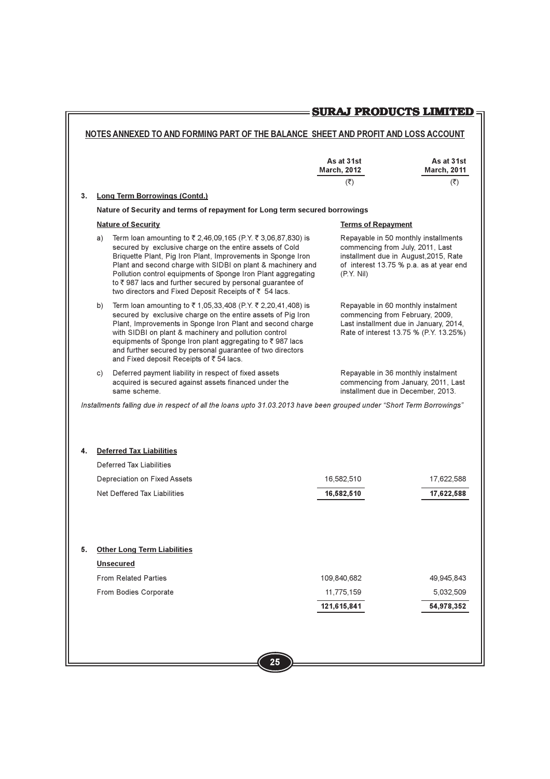# **SURAJ PRODUCTS LIMITED**

# NOTES ANNEXED TO AND FORMING PART OF THE BALANCE SHEET AND PROFIT AND LOSS ACCOUNT

|    |    |                                                                                                                                                                                                                                                                                                                                                                                                                                               | As at 31st<br><b>March, 2012</b><br>(₹)                                                                                                                                    | As at 31st<br><b>March, 2011</b><br>(₹) |
|----|----|-----------------------------------------------------------------------------------------------------------------------------------------------------------------------------------------------------------------------------------------------------------------------------------------------------------------------------------------------------------------------------------------------------------------------------------------------|----------------------------------------------------------------------------------------------------------------------------------------------------------------------------|-----------------------------------------|
| 3. |    | <b>Long Term Borrowings (Contd.)</b>                                                                                                                                                                                                                                                                                                                                                                                                          |                                                                                                                                                                            |                                         |
|    |    | Nature of Security and terms of repayment for Long term secured borrowings                                                                                                                                                                                                                                                                                                                                                                    |                                                                                                                                                                            |                                         |
|    |    | <b>Nature of Security</b>                                                                                                                                                                                                                                                                                                                                                                                                                     | <b>Terms of Repayment</b>                                                                                                                                                  |                                         |
|    | a) | Term loan amounting to ₹2,46,09,165 (P.Y. ₹3,06,87,830) is<br>secured by exclusive charge on the entire assets of Cold<br>Briquette Plant, Pig Iron Plant, Improvements in Sponge Iron<br>Plant and second charge with SIDBI on plant & machinery and<br>Pollution control equipments of Sponge Iron Plant aggregating<br>to ₹987 lacs and further secured by personal guarantee of<br>two directors and Fixed Deposit Receipts of ₹ 54 lacs. | Repayable in 50 monthly installments<br>commencing from July, 2011, Last<br>installment due in August, 2015, Rate<br>of interest 13.75 % p.a. as at year end<br>(P.Y. Nil) |                                         |
|    | b) | Term loan amounting to ₹1,05,33,408 (P.Y. ₹2,20,41,408) is<br>secured by exclusive charge on the entire assets of Pig Iron<br>Plant, Improvements in Sponge Iron Plant and second charge<br>with SIDBI on plant & machinery and pollution control<br>equipments of Sponge Iron plant aggregating to ₹987 lacs<br>and further secured by personal guarantee of two directors<br>and Fixed deposit Receipts of ₹54 lacs.                        | Repayable in 60 monthly instalment<br>commencing from February, 2009,<br>Last installment due in January, 2014,<br>Rate of interest 13.75 % (P.Y. 13.25%)                  |                                         |
|    | C) | Deferred payment liability in respect of fixed assets<br>acquired is secured against assets financed under the<br>same scheme.                                                                                                                                                                                                                                                                                                                | Repayable in 36 monthly instalment<br>commencing from January, 2011, Last<br>installment due in December, 2013.                                                            |                                         |
|    |    | Installments falling due in respect of all the loans upto 31.03.2013 have been grouped under "Short Term Borrowings"                                                                                                                                                                                                                                                                                                                          |                                                                                                                                                                            |                                         |
|    |    |                                                                                                                                                                                                                                                                                                                                                                                                                                               |                                                                                                                                                                            |                                         |
|    |    |                                                                                                                                                                                                                                                                                                                                                                                                                                               |                                                                                                                                                                            |                                         |
| 4. |    | <b>Deferred Tax Liabilities</b>                                                                                                                                                                                                                                                                                                                                                                                                               |                                                                                                                                                                            |                                         |
|    |    | Deferred Tax Liabilities                                                                                                                                                                                                                                                                                                                                                                                                                      |                                                                                                                                                                            |                                         |
|    |    | Depreciation on Fixed Assets                                                                                                                                                                                                                                                                                                                                                                                                                  | 16,582,510                                                                                                                                                                 | 17,622,588                              |
|    |    | Net Deffered Tax Liabilities                                                                                                                                                                                                                                                                                                                                                                                                                  | 16,582,510                                                                                                                                                                 | 17,622,588                              |
|    |    |                                                                                                                                                                                                                                                                                                                                                                                                                                               |                                                                                                                                                                            |                                         |
|    |    |                                                                                                                                                                                                                                                                                                                                                                                                                                               |                                                                                                                                                                            |                                         |
| 5. |    | <b>Other Long Term Liabilities</b>                                                                                                                                                                                                                                                                                                                                                                                                            |                                                                                                                                                                            |                                         |
|    |    | <b>Unsecured</b>                                                                                                                                                                                                                                                                                                                                                                                                                              |                                                                                                                                                                            |                                         |
|    |    | <b>From Related Parties</b>                                                                                                                                                                                                                                                                                                                                                                                                                   | 109,840,682                                                                                                                                                                | 49,945,843                              |
|    |    | From Bodies Corporate                                                                                                                                                                                                                                                                                                                                                                                                                         | 11,775,159                                                                                                                                                                 | 5,032,509                               |
|    |    |                                                                                                                                                                                                                                                                                                                                                                                                                                               | 121,615,841                                                                                                                                                                | 54,978,352                              |
|    |    |                                                                                                                                                                                                                                                                                                                                                                                                                                               |                                                                                                                                                                            |                                         |
|    |    |                                                                                                                                                                                                                                                                                                                                                                                                                                               |                                                                                                                                                                            |                                         |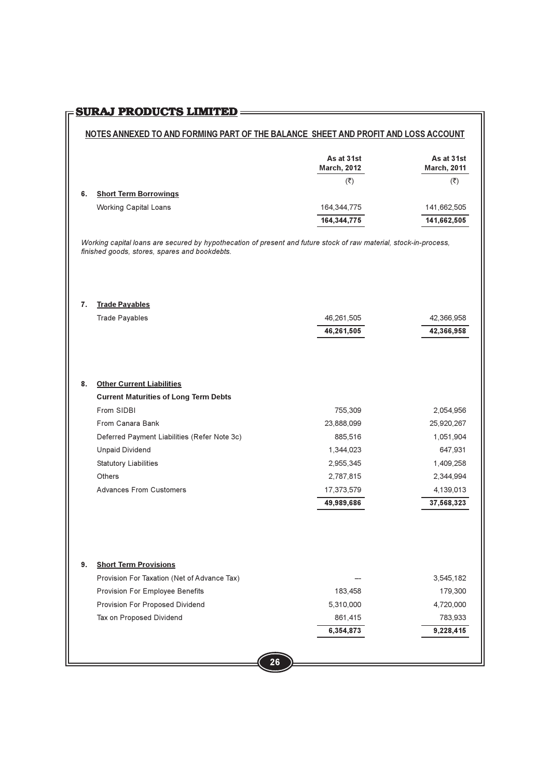# <u>SURAJ PRODUCTS LIMITED</u>=========

### NOTES ANNEXED TO AND FORMING PART OF THE BALANCE SHEET AND PROFIT AND LOSS ACCOUNT

|                                    | As at 31st<br><b>March, 2012</b> | As at 31st<br><b>March, 2011</b> |
|------------------------------------|----------------------------------|----------------------------------|
|                                    | (₹)                              | (₹)                              |
| <b>Short Term Borrowings</b><br>6. |                                  |                                  |
| <b>Working Capital Loans</b>       | 164,344,775                      | 141,662,505                      |
|                                    | 164,344,775                      | 141,662,505                      |

Working capital loans are secured by hypothecation of present and future stock of raw material, stock-in-process, finished goods, stores, spares and bookdebts.

### 7. Trade Payables

|    | <b>Trade Payables</b>                        | 46,261,505 | 42,366,958 |
|----|----------------------------------------------|------------|------------|
|    |                                              | 46,261,505 | 42,366,958 |
|    |                                              |            |            |
|    |                                              |            |            |
|    |                                              |            |            |
| 8. | <b>Other Current Liabilities</b>             |            |            |
|    | <b>Current Maturities of Long Term Debts</b> |            |            |
|    | From SIDBI                                   | 755,309    | 2,054,956  |
|    | From Canara Bank                             | 23,888,099 | 25,920,267 |
|    | Deferred Payment Liabilities (Refer Note 3c) | 885,516    | 1,051,904  |
|    | <b>Unpaid Dividend</b>                       | 1,344,023  | 647,931    |
|    | <b>Statutory Liabilities</b>                 | 2,955,345  | 1,409,258  |
|    | Others                                       | 2,787,815  | 2,344,994  |
|    | <b>Advances From Customers</b>               | 17,373,579 | 4,139,013  |
|    |                                              | 49,989,686 | 37,568,323 |
|    |                                              |            |            |
|    |                                              |            |            |
|    |                                              |            |            |
|    |                                              |            |            |
| 9. | <b>Short Term Provisions</b>                 |            |            |
|    | Provision For Taxation (Net of Advance Tax)  |            | 3,545,182  |
|    | Provision For Employee Benefits              | 183,458    | 179,300    |
|    |                                              |            |            |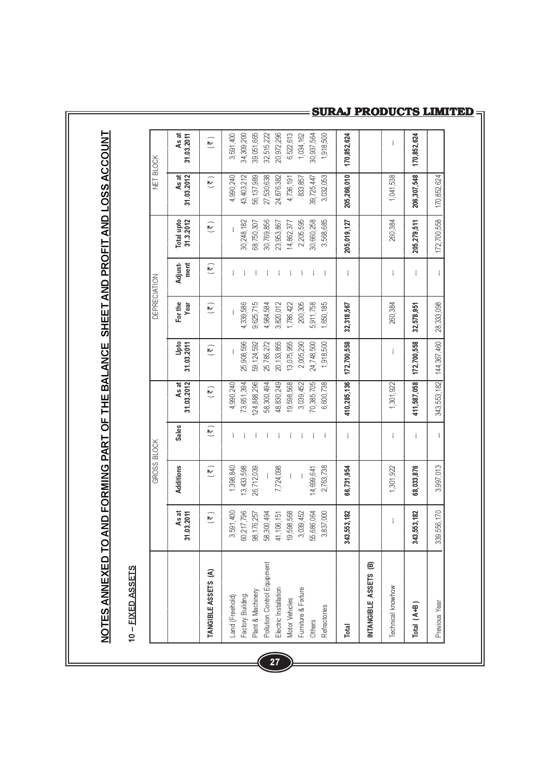NOTES ANNEXED TO AND FORMING PART OF THE BALANCE SHEET AND PROFIT AND LOSS ACCOUNT

# 10 - FIXED ASSETS

|                                       |                           | GROSS BLOCK               |                         |                     |                         | <b>DEPRECIATION</b>  |                 |                         | NET BLOCK                 |                      |
|---------------------------------------|---------------------------|---------------------------|-------------------------|---------------------|-------------------------|----------------------|-----------------|-------------------------|---------------------------|----------------------|
|                                       | As at<br>31.03.2011       | Additions                 | Sales                   | 31.03.2012<br>As at | Upto<br>31.03.2011      | For the<br>Year      | ment<br>Adjust- | 31.3.2012<br>Total upto | As at<br>31.03.2012       | As at<br>31.03.2011  |
| TANGIBLE ASSETS (A)                   | $\widetilde{\mathcal{K}}$ | $\widetilde{\mathcal{K}}$ | $\overline{\mathbf{z}}$ | $\tilde{z}$         | $\overline{\mathbf{z}}$ | $\tilde{\mathbf{r}}$ | M               | $\tilde{z}$             | $\widetilde{\mathcal{K}}$ | $(\overline{\zeta})$ |
| and (Freehold)                        | 3,591,400                 | 1,398,840                 | i                       | 4,990,240           | $\mathbf{i}$            |                      | $\overline{1}$  | $\overline{1}$          | 4,990,240                 | 3,591,400            |
|                                       | 60,217,796                | 13,433,598                | í                       | 73,651,394          | 25,908,596              | 4,339,586            | i               | 30,248,182              | 43,403,212                | 34,309,200           |
| Factory Building<br>Plant & Machinery | 98,176,257                | 26,712,039                | i                       | 124,888,296         | 59,124,592              | 9,625,715            | i               | 68,750,307              | 56,137,989                | 39,051,665           |
| Pollution Control Equipment           | 58,300,494                | İ                         | í                       | 58,300,494          | 25,785,272              | 4,984,584            | í               | 30,769,856              | 27,530,638                | 32,515,222           |
| Electric Installation                 | 41,106,151                | 7,724,098                 | Í                       | 48,830,249          | 20,133,855              | 3,820,012            | İ               | 23,953,867              | 24,876,382                | 20,972,296           |
| Motor Vehicles                        | 19,598,568                | İ                         | İ                       | 19,598,568          | 13,075,955              | 1,786,422            | i               | 14,862,377              | 4,736,191                 | 6,522,613            |
| Furniture & Fixture                   | 3,039,452                 |                           | İ                       | 3,039,452           | 2,005,290               | 200,305              | İ.              | 2,205,595               | 833,857                   | 1,034,162            |
| Others                                | 55,686,064                | 14,699,641                | j.                      | 70,385,705          | 24,748,500              | 5,911,758            |                 | 30,660,258              | 39,725,447                | 30,937,564           |
| Refractories                          | 3,837,000                 | 2,763,738                 | j                       | 6,600,738           | 1,918,500               | 1,650,185            | j               | 3,568,685               | 3,032,053                 | 1,918,500            |
| Total                                 | 343,553,182               | 66,731,954                | İ                       | 410,285,136         | 172,700,558             | 32,318,567           | İ               | 205,019,127             | 205,266,010               | 170,852,624          |
| <b>INTANGIBLE ASSETS (B)</b>          |                           |                           |                         |                     |                         |                      |                 |                         |                           |                      |
| Technical knowhow                     | İ                         | 1,301,922                 | İ                       | 1,301,922           | İ                       | 260,384              | İ               | 260,384                 | 1,041,538                 | I                    |
| Total $(A+B)$                         | 343,553,182               | 68,033,876                | İ                       | 411,587,058         | 172,700,558             | 32,578,951           | İ               | 205,279,511             | 206,307,548               | 170,852,624          |
| Previous Year                         | 339,556,170               | 3,997,013                 | i                       | 343,553,182         | 144,367,460             | 28,333,098           | İ               | 172,700,558             | 170,852,624               |                      |

# **SURAJ PRODUCTS LIMITED**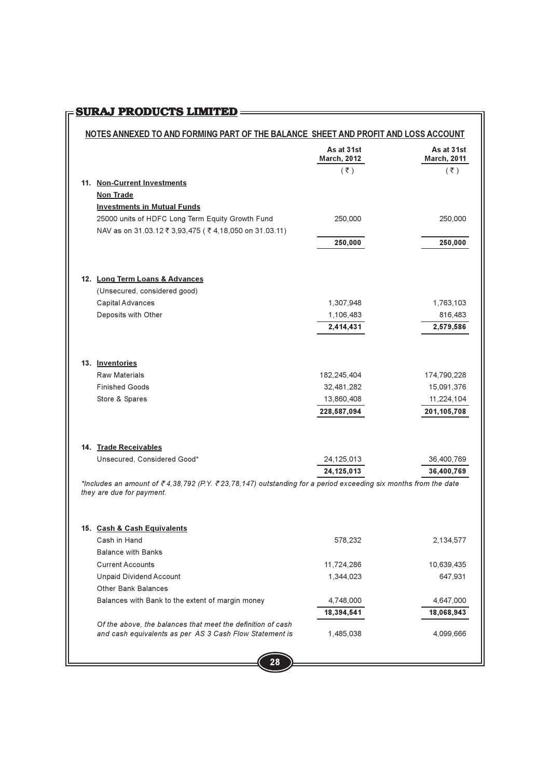# **FIGURAJ PRODUCTS LIMITED**

|                                    | NOTES ANNEXED TO AND FORMING PART OF THE BALANCE SHEET AND PROFIT AND LOSS ACCOUNT                                     |                                  |                                  |
|------------------------------------|------------------------------------------------------------------------------------------------------------------------|----------------------------------|----------------------------------|
|                                    |                                                                                                                        | As at 31st<br><b>March, 2012</b> | As at 31st<br><b>March, 2011</b> |
|                                    |                                                                                                                        | $(\bar{z})$                      | $(\bar{z})$                      |
| 11. Non-Current Investments        |                                                                                                                        |                                  |                                  |
| <b>Non Trade</b>                   |                                                                                                                        |                                  |                                  |
| <b>Investments in Mutual Funds</b> |                                                                                                                        |                                  |                                  |
|                                    | 25000 units of HDFC Long Term Equity Growth Fund                                                                       | 250,000                          | 250,000                          |
|                                    | NAV as on 31.03.12 ₹ 3,93,475 ( ₹ 4,18,050 on 31.03.11)                                                                |                                  |                                  |
|                                    |                                                                                                                        | 250,000                          | 250,000                          |
| 12. Long Term Loans & Advances     |                                                                                                                        |                                  |                                  |
| (Unsecured, considered good)       |                                                                                                                        |                                  |                                  |
| Capital Advances                   |                                                                                                                        | 1,307,948                        | 1,763,103                        |
| Deposits with Other                |                                                                                                                        | 1,106,483                        | 816,483                          |
|                                    |                                                                                                                        | 2,414,431                        | 2,579,586                        |
| 13. Inventories                    |                                                                                                                        |                                  |                                  |
| <b>Raw Materials</b>               |                                                                                                                        | 182,245,404                      | 174,790,228                      |
| <b>Finished Goods</b>              |                                                                                                                        | 32,481,282                       | 15,091,376                       |
| Store & Spares                     |                                                                                                                        | 13,860,408                       | 11,224,104                       |
|                                    |                                                                                                                        | 228,587,094                      | 201,105,708                      |
| 14. Trade Receivables              |                                                                                                                        |                                  |                                  |
| Unsecured, Considered Good*        |                                                                                                                        | 24,125,013                       | 36,400,769                       |
|                                    |                                                                                                                        | 24, 125, 013                     | 36,400,769                       |
| they are due for payment.          | *Includes an amount of ₹4,38,792 (P.Y. ₹23,78,147) outstanding for a period exceeding six months from the date         |                                  |                                  |
| 15. Cash & Cash Equivalents        |                                                                                                                        |                                  |                                  |
| Cash in Hand                       |                                                                                                                        | 578,232                          | 2,134,577                        |
| <b>Balance with Banks</b>          |                                                                                                                        |                                  |                                  |
| <b>Current Accounts</b>            |                                                                                                                        | 11,724,286                       | 10,639,435                       |
| <b>Unpaid Dividend Account</b>     |                                                                                                                        | 1,344,023                        | 647,931                          |
| <b>Other Bank Balances</b>         |                                                                                                                        |                                  |                                  |
|                                    | Balances with Bank to the extent of margin money                                                                       | 4,748,000                        | 4,647,000                        |
|                                    |                                                                                                                        | 18,394,541                       | 18,068,943                       |
|                                    | Of the above, the balances that meet the definition of cash<br>and cash equivalents as per AS 3 Cash Flow Statement is | 1,485,038                        | 4,099,666                        |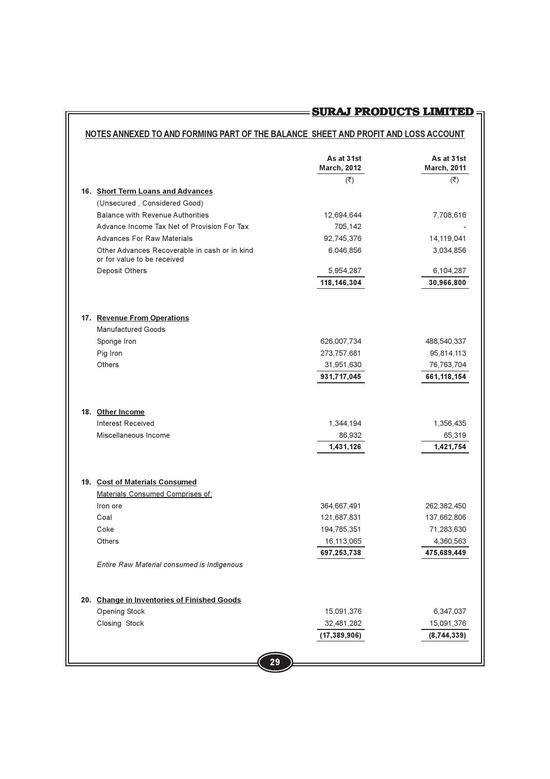# NOTES ANNEXED TO AND FORMING PART OF THE BALANCE SHEET AND PROFIT AND LOSS ACCOUNT

<u> 1989 - Johann Barnett, fransk politiker (</u>

|                                                                              | As at 31st<br><b>March, 2012</b> | As at 31st<br><b>March, 2011</b> |
|------------------------------------------------------------------------------|----------------------------------|----------------------------------|
|                                                                              | $(\overline{\zeta})$             | $(\overline{\zeta})$             |
| 16. Short Term Loans and Advances                                            |                                  |                                  |
| (Unsecured, Considered Good)                                                 |                                  |                                  |
| <b>Balance with Revenue Authorities</b>                                      | 12,694,644                       | 7,708,616                        |
| Advance Income Tax Net of Provision For Tax                                  | 705,142                          |                                  |
| <b>Advances For Raw Materials</b>                                            | 92,745,376                       | 14,119,041                       |
| Other Advances Recoverable in cash or in kind<br>or for value to be received | 6,046,856                        | 3,034,856                        |
| Deposit Others                                                               | 5,954,287                        | 6,104,287                        |
|                                                                              | 118, 146, 304                    | 30,966,800                       |
| 17. Revenue From Operations                                                  |                                  |                                  |
| <b>Manufactured Goods</b>                                                    |                                  |                                  |
| Sponge Iron                                                                  | 626,007,734                      | 488,540,337                      |
| Pig Iron                                                                     | 273,757,681                      | 95,814,113                       |
| Others                                                                       | 31,951,630                       | 76,763,704                       |
|                                                                              | 931,717,045                      | 661,118,154                      |
|                                                                              |                                  |                                  |
| 18. Other Income                                                             |                                  |                                  |
| <b>Interest Received</b>                                                     | 1,344,194                        | 1,356,435                        |
| Miscellaneous Income                                                         | 86,932                           | 65,319                           |
|                                                                              | 1,431,126                        | 1,421,754                        |
| 19. Cost of Materials Consumed                                               |                                  |                                  |
| Materials Consumed Comprises of:                                             |                                  |                                  |
| Iron ore                                                                     | 364,667,491                      | 262,382,450                      |
| Coal                                                                         | 121,687,831                      | 137,662,806                      |
| Coke                                                                         | 194,785,351                      | 71,283,630                       |
| Others                                                                       | 16,113,065                       | 4,360,563                        |
|                                                                              | 697,253,738                      | 475,689,449                      |
| Entire Raw Material consumed is Indigenous                                   |                                  |                                  |
| 20. Change in Inventories of Finished Goods                                  |                                  |                                  |
| Opening Stock                                                                | 15,091,376                       | 6,347,037                        |
| Closing Stock                                                                | 32,481,282                       | 15,091,376                       |
|                                                                              | (17, 389, 906)                   | (8,744,339)                      |
|                                                                              |                                  |                                  |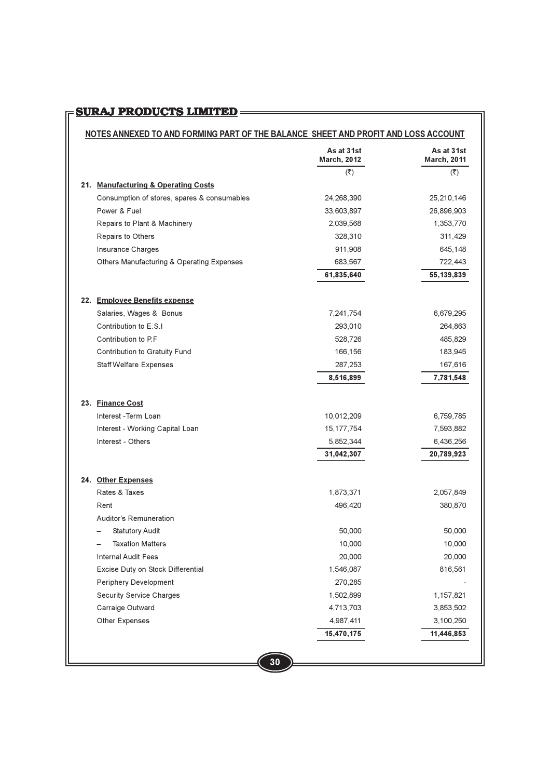# 

# NOTES ANNEXED TO AND FORMING PART OF THE BALANCE SHEET AND PROFIT AND LOSS ACCOUNT

| $(\overline{\zeta})$<br>$(\overline{\mathbf{x}})$<br>21. Manufacturing & Operating Costs<br>Consumption of stores, spares & consumables<br>24,268,390<br>25,210,146<br>Power & Fuel<br>33,603,897<br>26,896,903<br>Repairs to Plant & Machinery<br>2,039,568<br>1,353,770<br>Repairs to Others<br>328,310<br>311,429<br>Insurance Charges<br>911,908<br>645,148<br>Others Manufacturing & Operating Expenses<br>683,567<br>722,443<br>61,835,640<br>55, 139, 839<br>22. Employee Benefits expense<br>Salaries, Wages & Bonus<br>7,241,754<br>6,679,295<br>Contribution to E.S.I<br>293,010<br>264,863<br>Contribution to P.F.<br>528,726<br>485,829<br>Contribution to Gratuity Fund<br>166,156<br>183,945<br><b>Staff Welfare Expenses</b><br>287,253<br>167,616<br>7,781,548<br>8,516,899<br>23. Finance Cost<br>Interest -Term Loan<br>10,012,209<br>6,759,785<br>Interest - Working Capital Loan<br>15, 177, 754<br>7,593,882<br>Interest - Others<br>5,852,344<br>6,436,256<br>31,042,307<br>20,789,923<br>24. Other Expenses<br>Rates & Taxes<br>1,873,371<br>2,057,849<br>Rent<br>496,420<br>380,870<br>Auditor's Remuneration<br><b>Statutory Audit</b><br>50,000<br>50,000<br><b>Taxation Matters</b><br>10,000<br>10,000<br>Internal Audit Fees<br>20,000<br>20,000<br>Excise Duty on Stock Differential<br>1,546,087<br>816,561<br>Periphery Development<br>270,285<br>Security Service Charges<br>1,502,899<br>1,157,821<br>Carraige Outward<br>4,713,703<br>3,853,502<br>Other Expenses<br>4,987,411<br>3,100,250<br>15,470,175<br>11,446,853 | As at 31st<br><b>March, 2012</b> | As at 31st<br><b>March, 2011</b> |
|------------------------------------------------------------------------------------------------------------------------------------------------------------------------------------------------------------------------------------------------------------------------------------------------------------------------------------------------------------------------------------------------------------------------------------------------------------------------------------------------------------------------------------------------------------------------------------------------------------------------------------------------------------------------------------------------------------------------------------------------------------------------------------------------------------------------------------------------------------------------------------------------------------------------------------------------------------------------------------------------------------------------------------------------------------------------------------------------------------------------------------------------------------------------------------------------------------------------------------------------------------------------------------------------------------------------------------------------------------------------------------------------------------------------------------------------------------------------------------------------------------------------------------------------------------|----------------------------------|----------------------------------|
|                                                                                                                                                                                                                                                                                                                                                                                                                                                                                                                                                                                                                                                                                                                                                                                                                                                                                                                                                                                                                                                                                                                                                                                                                                                                                                                                                                                                                                                                                                                                                            |                                  |                                  |
|                                                                                                                                                                                                                                                                                                                                                                                                                                                                                                                                                                                                                                                                                                                                                                                                                                                                                                                                                                                                                                                                                                                                                                                                                                                                                                                                                                                                                                                                                                                                                            |                                  |                                  |
|                                                                                                                                                                                                                                                                                                                                                                                                                                                                                                                                                                                                                                                                                                                                                                                                                                                                                                                                                                                                                                                                                                                                                                                                                                                                                                                                                                                                                                                                                                                                                            |                                  |                                  |
|                                                                                                                                                                                                                                                                                                                                                                                                                                                                                                                                                                                                                                                                                                                                                                                                                                                                                                                                                                                                                                                                                                                                                                                                                                                                                                                                                                                                                                                                                                                                                            |                                  |                                  |
|                                                                                                                                                                                                                                                                                                                                                                                                                                                                                                                                                                                                                                                                                                                                                                                                                                                                                                                                                                                                                                                                                                                                                                                                                                                                                                                                                                                                                                                                                                                                                            |                                  |                                  |
|                                                                                                                                                                                                                                                                                                                                                                                                                                                                                                                                                                                                                                                                                                                                                                                                                                                                                                                                                                                                                                                                                                                                                                                                                                                                                                                                                                                                                                                                                                                                                            |                                  |                                  |
|                                                                                                                                                                                                                                                                                                                                                                                                                                                                                                                                                                                                                                                                                                                                                                                                                                                                                                                                                                                                                                                                                                                                                                                                                                                                                                                                                                                                                                                                                                                                                            |                                  |                                  |
|                                                                                                                                                                                                                                                                                                                                                                                                                                                                                                                                                                                                                                                                                                                                                                                                                                                                                                                                                                                                                                                                                                                                                                                                                                                                                                                                                                                                                                                                                                                                                            |                                  |                                  |
|                                                                                                                                                                                                                                                                                                                                                                                                                                                                                                                                                                                                                                                                                                                                                                                                                                                                                                                                                                                                                                                                                                                                                                                                                                                                                                                                                                                                                                                                                                                                                            |                                  |                                  |
|                                                                                                                                                                                                                                                                                                                                                                                                                                                                                                                                                                                                                                                                                                                                                                                                                                                                                                                                                                                                                                                                                                                                                                                                                                                                                                                                                                                                                                                                                                                                                            |                                  |                                  |
|                                                                                                                                                                                                                                                                                                                                                                                                                                                                                                                                                                                                                                                                                                                                                                                                                                                                                                                                                                                                                                                                                                                                                                                                                                                                                                                                                                                                                                                                                                                                                            |                                  |                                  |
|                                                                                                                                                                                                                                                                                                                                                                                                                                                                                                                                                                                                                                                                                                                                                                                                                                                                                                                                                                                                                                                                                                                                                                                                                                                                                                                                                                                                                                                                                                                                                            |                                  |                                  |
|                                                                                                                                                                                                                                                                                                                                                                                                                                                                                                                                                                                                                                                                                                                                                                                                                                                                                                                                                                                                                                                                                                                                                                                                                                                                                                                                                                                                                                                                                                                                                            |                                  |                                  |
|                                                                                                                                                                                                                                                                                                                                                                                                                                                                                                                                                                                                                                                                                                                                                                                                                                                                                                                                                                                                                                                                                                                                                                                                                                                                                                                                                                                                                                                                                                                                                            |                                  |                                  |
|                                                                                                                                                                                                                                                                                                                                                                                                                                                                                                                                                                                                                                                                                                                                                                                                                                                                                                                                                                                                                                                                                                                                                                                                                                                                                                                                                                                                                                                                                                                                                            |                                  |                                  |
|                                                                                                                                                                                                                                                                                                                                                                                                                                                                                                                                                                                                                                                                                                                                                                                                                                                                                                                                                                                                                                                                                                                                                                                                                                                                                                                                                                                                                                                                                                                                                            |                                  |                                  |
|                                                                                                                                                                                                                                                                                                                                                                                                                                                                                                                                                                                                                                                                                                                                                                                                                                                                                                                                                                                                                                                                                                                                                                                                                                                                                                                                                                                                                                                                                                                                                            |                                  |                                  |
|                                                                                                                                                                                                                                                                                                                                                                                                                                                                                                                                                                                                                                                                                                                                                                                                                                                                                                                                                                                                                                                                                                                                                                                                                                                                                                                                                                                                                                                                                                                                                            |                                  |                                  |
|                                                                                                                                                                                                                                                                                                                                                                                                                                                                                                                                                                                                                                                                                                                                                                                                                                                                                                                                                                                                                                                                                                                                                                                                                                                                                                                                                                                                                                                                                                                                                            |                                  |                                  |
|                                                                                                                                                                                                                                                                                                                                                                                                                                                                                                                                                                                                                                                                                                                                                                                                                                                                                                                                                                                                                                                                                                                                                                                                                                                                                                                                                                                                                                                                                                                                                            |                                  |                                  |
|                                                                                                                                                                                                                                                                                                                                                                                                                                                                                                                                                                                                                                                                                                                                                                                                                                                                                                                                                                                                                                                                                                                                                                                                                                                                                                                                                                                                                                                                                                                                                            |                                  |                                  |
|                                                                                                                                                                                                                                                                                                                                                                                                                                                                                                                                                                                                                                                                                                                                                                                                                                                                                                                                                                                                                                                                                                                                                                                                                                                                                                                                                                                                                                                                                                                                                            |                                  |                                  |
|                                                                                                                                                                                                                                                                                                                                                                                                                                                                                                                                                                                                                                                                                                                                                                                                                                                                                                                                                                                                                                                                                                                                                                                                                                                                                                                                                                                                                                                                                                                                                            |                                  |                                  |
|                                                                                                                                                                                                                                                                                                                                                                                                                                                                                                                                                                                                                                                                                                                                                                                                                                                                                                                                                                                                                                                                                                                                                                                                                                                                                                                                                                                                                                                                                                                                                            |                                  |                                  |
|                                                                                                                                                                                                                                                                                                                                                                                                                                                                                                                                                                                                                                                                                                                                                                                                                                                                                                                                                                                                                                                                                                                                                                                                                                                                                                                                                                                                                                                                                                                                                            |                                  |                                  |
|                                                                                                                                                                                                                                                                                                                                                                                                                                                                                                                                                                                                                                                                                                                                                                                                                                                                                                                                                                                                                                                                                                                                                                                                                                                                                                                                                                                                                                                                                                                                                            |                                  |                                  |
|                                                                                                                                                                                                                                                                                                                                                                                                                                                                                                                                                                                                                                                                                                                                                                                                                                                                                                                                                                                                                                                                                                                                                                                                                                                                                                                                                                                                                                                                                                                                                            |                                  |                                  |
|                                                                                                                                                                                                                                                                                                                                                                                                                                                                                                                                                                                                                                                                                                                                                                                                                                                                                                                                                                                                                                                                                                                                                                                                                                                                                                                                                                                                                                                                                                                                                            |                                  |                                  |
|                                                                                                                                                                                                                                                                                                                                                                                                                                                                                                                                                                                                                                                                                                                                                                                                                                                                                                                                                                                                                                                                                                                                                                                                                                                                                                                                                                                                                                                                                                                                                            |                                  |                                  |
|                                                                                                                                                                                                                                                                                                                                                                                                                                                                                                                                                                                                                                                                                                                                                                                                                                                                                                                                                                                                                                                                                                                                                                                                                                                                                                                                                                                                                                                                                                                                                            |                                  |                                  |
|                                                                                                                                                                                                                                                                                                                                                                                                                                                                                                                                                                                                                                                                                                                                                                                                                                                                                                                                                                                                                                                                                                                                                                                                                                                                                                                                                                                                                                                                                                                                                            |                                  |                                  |
|                                                                                                                                                                                                                                                                                                                                                                                                                                                                                                                                                                                                                                                                                                                                                                                                                                                                                                                                                                                                                                                                                                                                                                                                                                                                                                                                                                                                                                                                                                                                                            |                                  |                                  |
|                                                                                                                                                                                                                                                                                                                                                                                                                                                                                                                                                                                                                                                                                                                                                                                                                                                                                                                                                                                                                                                                                                                                                                                                                                                                                                                                                                                                                                                                                                                                                            |                                  |                                  |
|                                                                                                                                                                                                                                                                                                                                                                                                                                                                                                                                                                                                                                                                                                                                                                                                                                                                                                                                                                                                                                                                                                                                                                                                                                                                                                                                                                                                                                                                                                                                                            |                                  |                                  |
|                                                                                                                                                                                                                                                                                                                                                                                                                                                                                                                                                                                                                                                                                                                                                                                                                                                                                                                                                                                                                                                                                                                                                                                                                                                                                                                                                                                                                                                                                                                                                            |                                  |                                  |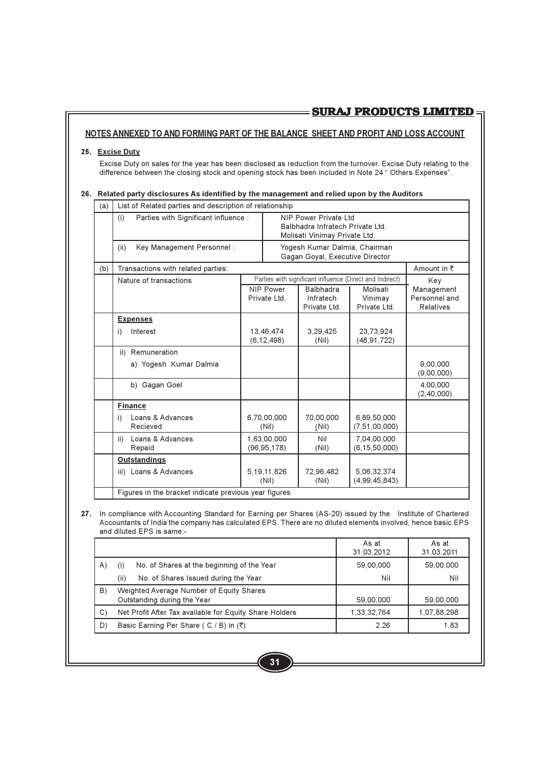### NOTES ANNEXED TO AND FORMING PART OF THE BALANCE SHEET AND PROFIT AND LOSS ACCOUNT

### 25. Excise Duty

Excise Duty on sales for the year has been disclosed as reduction from the turnover. Excise Duty relating to the difference between the closing stock and opening stock has been included in Note 24 " Others Expenses".

### 26. Related party disclosures As identified by the management and relied upon by the Auditors

| (a) | List of Related parties and description of relationship |                                  |                                                                                             |                                                          |                                                 |
|-----|---------------------------------------------------------|----------------------------------|---------------------------------------------------------------------------------------------|----------------------------------------------------------|-------------------------------------------------|
|     | Parties with Significant influence :<br>(i)             |                                  | NIP Power Private I td<br>Balbhadra Infratech Private Ltd.<br>Molisati Vinimay Private Ltd. |                                                          |                                                 |
|     | Key Management Personnel:<br>(ii)                       |                                  | Yogesh Kumar Dalmia, Chairman<br>Gagan Goyal, Executive Director                            |                                                          |                                                 |
| (b) | Transactions with related parties:                      |                                  |                                                                                             |                                                          | Amount in ₹                                     |
|     | Nature of transactions                                  |                                  |                                                                                             | Parties with significant influence (Direct and Indirect) | Key                                             |
|     |                                                         | <b>NIP Power</b><br>Private Ltd. | <b>Balbhadra</b><br>Infratech<br>Private Ltd.                                               | Molisati<br>Vinimay<br>Private Ltd.                      | Management<br>Personnel and<br><b>Relatives</b> |
|     | <b>Expenses</b>                                         |                                  |                                                                                             |                                                          |                                                 |
|     | Interest<br>i)                                          | 13,46,474<br>(6, 12, 498)        | 3,29,425<br>(Nil)                                                                           | 23,73,924<br>(48, 91, 722)                               |                                                 |
|     | ii) Remuneration                                        |                                  |                                                                                             |                                                          |                                                 |
|     | a) Yogesh Kumar Dalmia                                  |                                  |                                                                                             |                                                          | 9.00.000<br>(9,00,000)                          |
|     | b) Gagan Goel                                           |                                  |                                                                                             |                                                          | 4,00,000<br>(2,40,000)                          |
|     | <b>Finance</b>                                          |                                  |                                                                                             |                                                          |                                                 |
|     | Loans & Advances<br>i)<br>Recieved                      | 6,70,00,000<br>(Nil)             | 70.00.000<br>(Nil)                                                                          | 6.89.50.000<br>(7, 51, 00, 000)                          |                                                 |
|     | Loans & Advances<br>ii)<br>Repaid                       | 1.63.00.000<br>(96, 95, 178)     | Nil<br>(Nil)                                                                                | 7,04,00,000<br>(6, 15, 50, 000)                          |                                                 |
|     | <b>Outstandings</b>                                     |                                  |                                                                                             |                                                          |                                                 |
|     | iii) Loans & Advances                                   | 5, 19, 11, 826<br>(Nil)          | 72,96,482<br>(Nil)                                                                          | 5,06,32,374<br>(4,99,45,843)                             |                                                 |
|     | Figures in the bracket indicate previous year figures   |                                  |                                                                                             |                                                          |                                                 |

27. In compliance with Accounting Standard for Earning per Shares (AS-20) issued by the Institute of Chartered Accountants of India the company has calculated EPS. There are no diluted elements involved, hence basic EPS and diluted EPS is same:-

|     |                                                                         | As at<br>31.03.2012 | As at<br>31.03.2011 |
|-----|-------------------------------------------------------------------------|---------------------|---------------------|
| (A) | No. of Shares at the beginning of the Year                              | 59,00,000           | 59,00,000           |
|     | (ii)<br>No. of Shares Issued during the Year                            | Nil                 | Nil                 |
| B)  | Weighted Average Number of Equity Shares<br>Outstanding during the Year | 59,00,000           | 59,00,000           |
| C)  | Net Profit After Tax available for Equity Share Holders                 | 1,33,32,764         | 1,07,88,298         |
| D)  | Basic Earning Per Share ( $C / B$ ) in $(\overline{\zeta})$             | 2.26                | 1.83                |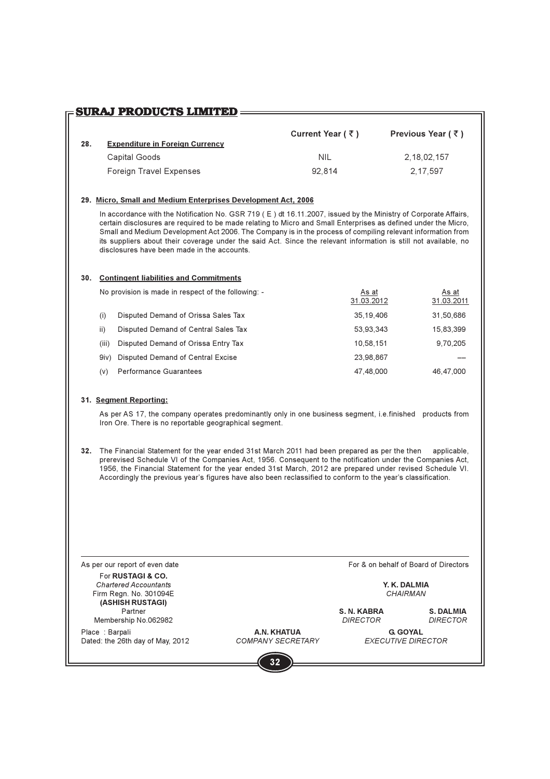# **SURAJ PRODUCTS LIMITED =====**

|     |                                        | Current Year ( $\bar{\tau}$ ) | Previous Year $(\bar{z})$ |
|-----|----------------------------------------|-------------------------------|---------------------------|
| 28. | <b>Expenditure in Foreign Currency</b> |                               |                           |
|     | Capital Goods                          | NIL                           | 2, 18, 02, 157            |
|     | Foreign Travel Expenses                | 92.814                        | 2.17.597                  |

### 29. Micro, Small and Medium Enterprises Development Act. 2006

In accordance with the Notification No. GSR 719 (E) dt 16.11.2007, issued by the Ministry of Corporate Affairs, certain disclosures are required to be made relating to Micro and Small Enterprises as defined under the Micro. Small and Medium Development Act 2006. The Company is in the process of compiling relevant information from its suppliers about their coverage under the said Act. Since the relevant information is still not available, no disclosures have been made in the accounts

### 30. Contingent liabilities and Commitments

|       | No provision is made in respect of the following: - | As at<br>31.03.2012 | As at<br>31.03.2011 |
|-------|-----------------------------------------------------|---------------------|---------------------|
| (i)   | Disputed Demand of Orissa Sales Tax                 | 35.19.406           | 31,50,686           |
| ii)   | Disputed Demand of Central Sales Tax                | 53,93,343           | 15,83,399           |
| (iii) | Disputed Demand of Orissa Entry Tax                 | 10.58.151           | 9,70,205            |
| 9iv)  | Disputed Demand of Central Excise                   | 23.98.867           |                     |
| (v)   | <b>Performance Guarantees</b>                       | 47.48.000           | 46.47.000           |

### 31. Segment Reporting:

As per AS 17, the company operates predominantly only in one business segment, i.e.finished products from Iron Ore. There is no reportable geographical segment.

32. The Financial Statement for the year ended 31st March 2011 had been prepared as per the then applicable. prerevised Schedule VI of the Companies Act, 1956. Consequent to the notification under the Companies Act, 1956, the Financial Statement for the year ended 31st March, 2012 are prepared under revised Schedule VI. Accordingly the previous year's figures have also been reclassified to conform to the year's classification.

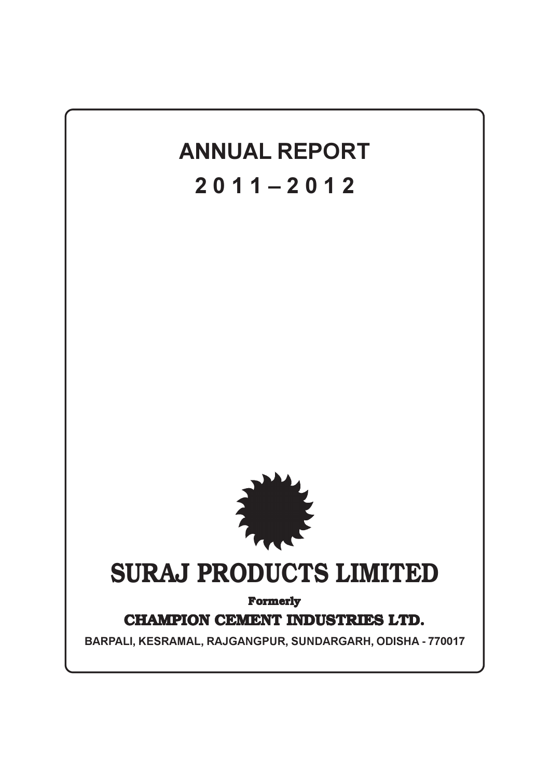# **ANNUAL REPORT**  $2011 - 2012$



# **SURAJ PRODUCTS LIMITED**

**Formerly** 

# **CHAMPION CEMENT INDUSTRIES LTD.**

BARPALI, KESRAMAL, RAJGANGPUR, SUNDARGARH, ODISHA - 770017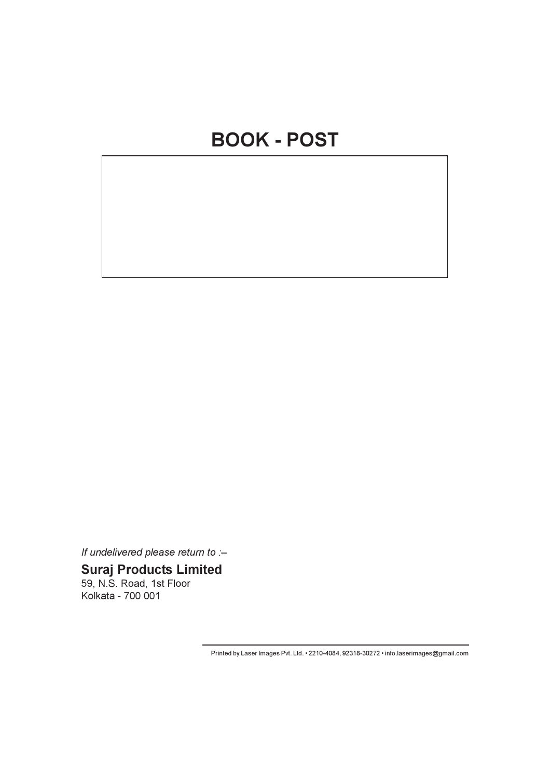If undelivered please return to :-

# **Suraj Products Limited**

59, N.S. Road, 1st Floor Kolkata - 700 001

Printed by Laser Images Pvt. Ltd. • 2210-4084, 92318-30272 • info.laserimages@gmail.com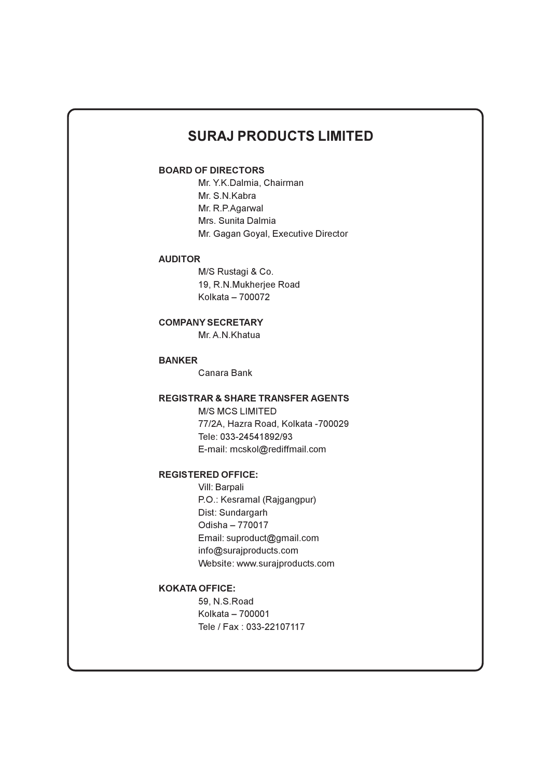# **SURAJ PRODUCTS LIMITED**

# **BOARD OF DIRECTORS**

Mr. Y.K.Dalmia, Chairman Mr. S.N.Kabra Mr. R.P.Agarwal Mrs. Sunita Dalmia Mr. Gagan Goval, Executive Director

### **AUDITOR**

M/S Rustagi & Co. 19. R.N.Mukheriee Road Kolkata - 700072

# **COMPANY SECRETARY**

Mr. A.N. Khatua

# **BANKER**

Canara Bank

### **REGISTRAR & SHARE TRANSFER AGENTS**

**M/S MCS LIMITED** 77/2A, Hazra Road, Kolkata -700029 Tele: 033-24541892/93 E-mail: mcskol@rediffmail.com

### **REGISTERED OFFICE:**

Vill: Barpali P.O.: Kesramal (Rajgangpur) Dist: Sundargarh Odisha - 770017 Email: suproduct@gmail.com info@surajproducts.com Website: www.surajproducts.com

### **KOKATA OFFICE:**

59, N.S. Road Kolkata - 700001 Tele / Fax: 033-22107117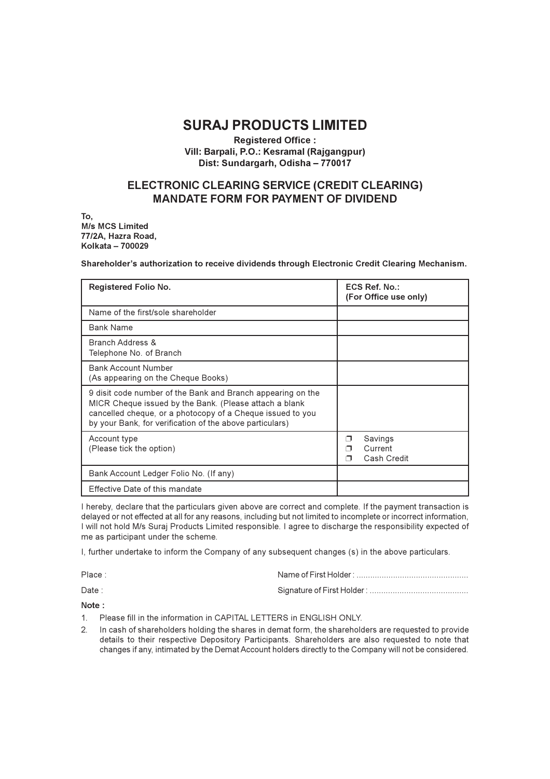# **SURAJ PRODUCTS LIMITED**

### **Registered Office:** Vill: Barpali, P.O.: Kesramal (Rajgangpur) Dist: Sundargarh, Odisha - 770017

# ELECTRONIC CLEARING SERVICE (CREDIT CLEARING) **MANDATE FORM FOR PAYMENT OF DIVIDEND**

To. M/s MCS Limited 77/2A, Hazra Road, Kolkata - 700029

Shareholder's authorization to receive dividends through Electronic Credit Clearing Mechanism.

| Registered Folio No.                                                                                                                                                                                                                            | ECS Ref. No.:<br>(For Office use only) |
|-------------------------------------------------------------------------------------------------------------------------------------------------------------------------------------------------------------------------------------------------|----------------------------------------|
| Name of the first/sole shareholder                                                                                                                                                                                                              |                                        |
| <b>Bank Name</b>                                                                                                                                                                                                                                |                                        |
| <b>Branch Address &amp;</b><br>Telephone No. of Branch                                                                                                                                                                                          |                                        |
| <b>Bank Account Number</b><br>(As appearing on the Cheque Books)                                                                                                                                                                                |                                        |
| 9 disit code number of the Bank and Branch appearing on the<br>MICR Cheque issued by the Bank. (Please attach a blank<br>cancelled cheque, or a photocopy of a Cheque issued to you<br>by your Bank, for verification of the above particulars) |                                        |
| Account type<br>(Please tick the option)                                                                                                                                                                                                        | Savings<br>⊓<br>Current<br>Cash Credit |
| Bank Account Ledger Folio No. (If any)                                                                                                                                                                                                          |                                        |
| Effective Date of this mandate                                                                                                                                                                                                                  |                                        |

I hereby, declare that the particulars given above are correct and complete. If the payment transaction is delayed or not effected at all for any reasons, including but not limited to incomplete or incorrect information, I will not hold M/s Suraj Products Limited responsible. I agree to discharge the responsibility expected of me as participant under the scheme.

I, further undertake to inform the Company of any subsequent changes (s) in the above particulars.

| Place: |  |
|--------|--|
| Date:  |  |

Note:

- Please fill in the information in CAPITAL LETTERS in ENGLISH ONLY.  $1$
- In cash of shareholders holding the shares in demat form, the shareholders are requested to provide  $\mathcal{P}$ details to their respective Depository Participants. Shareholders are also requested to note that changes if any, intimated by the Demat Account holders directly to the Company will not be considered.